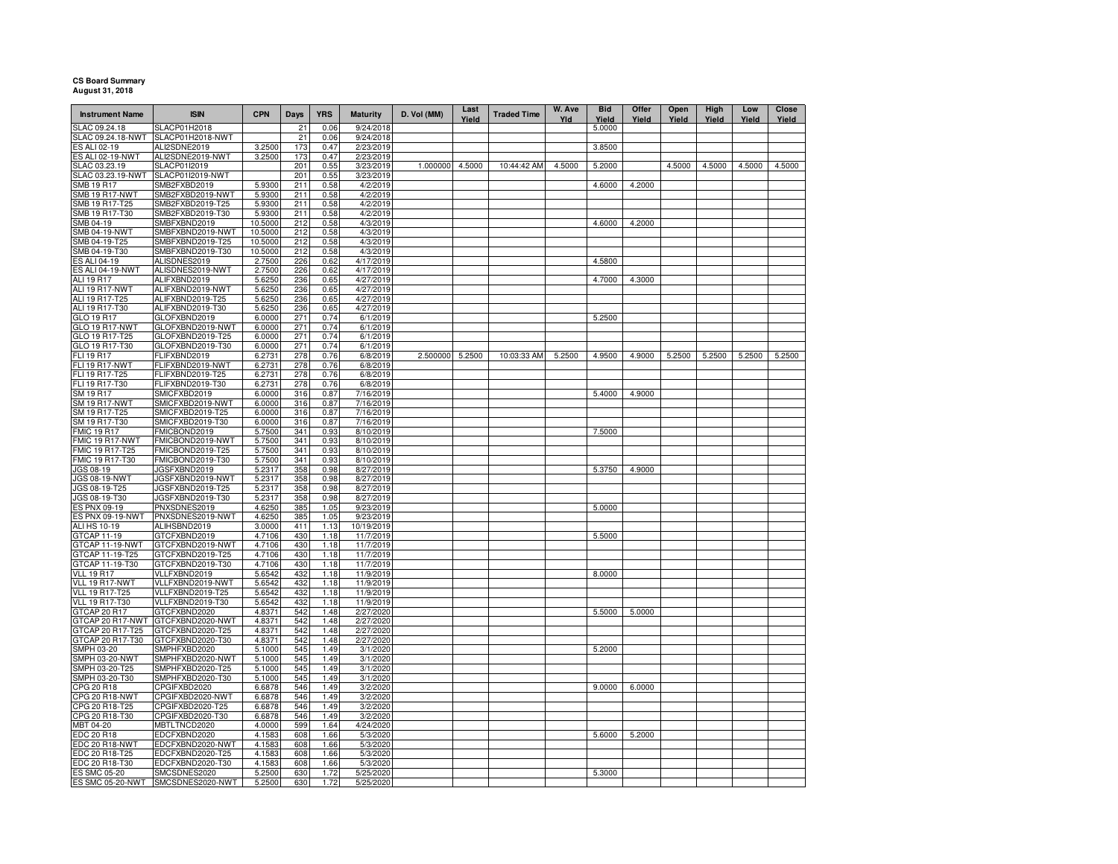## **CS Board Summary August 31, 2018**

| <b>Instrument Name</b>              | <b>ISIN</b>                          | <b>CPN</b>       | <b>Days</b> | <b>YRS</b>   | <b>Maturity</b>        | D. Vol (MM)     | Last<br>Yield | <b>Traded Time</b> | W. Ave<br>Yld | <b>Bid</b><br>Yield | Offer<br>Yield | Open<br>Yield | High<br>Yield | Low<br>Yield | <b>Close</b><br>Yield |
|-------------------------------------|--------------------------------------|------------------|-------------|--------------|------------------------|-----------------|---------------|--------------------|---------------|---------------------|----------------|---------------|---------------|--------------|-----------------------|
| SLAC 09.24.18                       | SLACP01H2018                         |                  | 21          | 0.06         | 9/24/2018              |                 |               |                    |               | 5.0000              |                |               |               |              |                       |
| SLAC 09.24.18-NWT                   | SLACP01H2018-NWT                     |                  | 21          | 0.06         | 9/24/2018              |                 |               |                    |               |                     |                |               |               |              |                       |
| ES ALI 02-19                        | ALI2SDNE2019                         | 3.2500           | 173         | 0.47         | 2/23/2019              |                 |               |                    |               | 3.8500              |                |               |               |              |                       |
| ES ALI 02-19-NWT                    | ALI2SDNE2019-NWT                     | 3.2500           | 173         | 0.47         | 2/23/2019              |                 |               |                    |               |                     |                |               |               |              |                       |
| SLAC 03.23.19                       | SLACP01I2019                         |                  | 201         | 0.55         | 3/23/2019              | 1.000000        | 4.5000        | 10:44:42 AM        | 4.5000        | 5.2000              |                | 4.5000        | 4.5000        | 4.5000       | 4.5000                |
| SLAC 03.23.19-NWT                   | SLACP01I2019-NWT                     | 5.9300           | 201         | 0.55         | 3/23/2019              |                 |               |                    |               |                     |                |               |               |              |                       |
| SMB 19 R17<br><b>SMB 19 R17-NWT</b> | SMB2FXBD2019<br>SMB2FXBD2019-NWT     | 5.9300           | 211<br>211  | 0.58<br>0.58 | 4/2/2019<br>4/2/2019   |                 |               |                    |               | 4.6000              | 4.2000         |               |               |              |                       |
| SMB 19 R17-T25                      | SMB2FXBD2019-T25                     | 5.9300           | 211         | 0.58         | 4/2/2019               |                 |               |                    |               |                     |                |               |               |              |                       |
| SMB 19 R17-T30                      | SMB2FXBD2019-T30                     | 5.9300           | 211         | 0.58         | 4/2/2019               |                 |               |                    |               |                     |                |               |               |              |                       |
| SMB 04-19                           | SMBFXBND2019                         | 10.5000          | 212         | 0.58         | 4/3/2019               |                 |               |                    |               | 4.6000              | 4.2000         |               |               |              |                       |
| <b>SMB 04-19-NWT</b>                | SMBFXBND2019-NWT                     | 10.5000          | 212         | 0.58         | 4/3/2019               |                 |               |                    |               |                     |                |               |               |              |                       |
| SMB 04-19-T25                       | SMBFXBND2019-T25                     | 10.5000          | 212         | 0.58         | 4/3/2019               |                 |               |                    |               |                     |                |               |               |              |                       |
| SMB 04-19-T30                       | SMBFXBND2019-T30                     | 10.5000          | 212         | 0.58         | 4/3/2019               |                 |               |                    |               |                     |                |               |               |              |                       |
| ES ALI 04-19                        | ALISDNES2019                         | 2.7500           | 226         | 0.62         | 4/17/2019              |                 |               |                    |               | 4.5800              |                |               |               |              |                       |
| ES ALI 04-19-NWT                    | ALISDNES2019-NWT                     | 2.7500           | 226         | 0.62         | 4/17/2019              |                 |               |                    |               |                     |                |               |               |              |                       |
| ALI 19 R17                          | ALIFXBND2019                         | 5.6250           | 236         | 0.65         | 4/27/2019              |                 |               |                    |               | 4.7000              | 4.3000         |               |               |              |                       |
| ALI 19 R17-NWT                      | ALIFXBND2019-NWT                     | 5.6250           | 236         | 0.65         | 4/27/2019              |                 |               |                    |               |                     |                |               |               |              |                       |
| ALI 19 R17-T25                      | ALIFXBND2019-T25                     | 5.6250           | 236         | 0.65         | 4/27/2019              |                 |               |                    |               |                     |                |               |               |              |                       |
| ALI 19 R17-T30                      | ALIFXBND2019-T30                     | 5.6250           | 236         | 0.65         | 4/27/2019              |                 |               |                    |               |                     |                |               |               |              |                       |
| GLO 19 R17                          | GLOFXBND2019                         | 6.0000           | 271         | 0.74         | 6/1/2019               |                 |               |                    |               | 5.2500              |                |               |               |              |                       |
| <b>GLO 19 R17-NWT</b>               | GLOFXBND2019-NWT                     | 6.0000           | 271         | 0.74         | 6/1/2019               |                 |               |                    |               |                     |                |               |               |              |                       |
| GLO 19 R17-T25                      | GLOFXBND2019-T25                     | 6.0000           | 271         | 0.74         | 6/1/2019               |                 |               |                    |               |                     |                |               |               |              |                       |
| GLO 19 R17-T30                      | GLOFXBND2019-T30                     | 6.0000           | 271         | 0.74         | 6/1/2019               |                 |               |                    |               |                     |                |               |               |              |                       |
| FLI 19 R17                          | FLIFXBND2019                         | 6.2731           | 278         | 0.76         | 6/8/2019               | 2.500000 5.2500 |               | 10:03:33 AM        | 5.2500        | 4.9500              | 4.9000         | 5.2500        | 5.2500        | 5.2500       | 5.2500                |
| <b>FLI 19 R17-NWT</b>               | FLIFXBND2019-NWT                     | 6.2731           | 278         | 0.76         | 6/8/2019               |                 |               |                    |               |                     |                |               |               |              |                       |
| FLI 19 R17-T25                      | FLIFXBND2019-T25                     | 6.2731           | 278         | 0.76         | 6/8/2019               |                 |               |                    |               |                     |                |               |               |              |                       |
| FLI 19 R17-T30                      | FLIFXBND2019-T30                     | 6.2731           | 278         | 0.76         | 6/8/2019               |                 |               |                    |               |                     |                |               |               |              |                       |
| SM 19 R17                           | SMICFXBD2019                         | 6.0000           | 316         | 0.87         | 7/16/2019              |                 |               |                    |               | 5.4000              | 4.9000         |               |               |              |                       |
| <b>SM 19 R17-NWT</b>                | SMICFXBD2019-NWT                     | 6.0000           | 316         | 0.87         | 7/16/2019              |                 |               |                    |               |                     |                |               |               |              |                       |
| SM 19 R17-T25                       | SMICFXBD2019-T25                     | 6.0000           | 316         | 0.87         | 7/16/2019              |                 |               |                    |               |                     |                |               |               |              |                       |
| SM 19 R17-T30                       | SMICFXBD2019-T30                     | 6.0000           | 316         | 0.87         | 7/16/2019              |                 |               |                    |               |                     |                |               |               |              |                       |
| <b>FMIC 19 R17</b>                  | FMICBOND2019                         | 5.7500           | 341         | 0.93         | 8/10/2019              |                 |               |                    |               | 7.5000              |                |               |               |              |                       |
| FMIC 19 R17-NWT                     | FMICBOND2019-NWT                     | 5.7500           | 341         | 0.93         | 8/10/2019              |                 |               |                    |               |                     |                |               |               |              |                       |
| FMIC 19 R17-T25                     | FMICBOND2019-T25                     | 5.7500           | 341         | 0.93         | 8/10/2019              |                 |               |                    |               |                     |                |               |               |              |                       |
| FMIC 19 R17-T30                     | FMICBOND2019-T30                     | 5.7500           | 341         | 0.93         | 8/10/2019              |                 |               |                    |               |                     |                |               |               |              |                       |
| JGS 08-19                           | JGSFXBND2019                         | 5.2317           | 358         | 0.98         | 8/27/2019              |                 |               |                    |               | 5.3750              | 4.9000         |               |               |              |                       |
| JGS 08-19-NWT                       | JGSFXBND2019-NWT                     | 5.2317           | 358         | 0.98<br>0.98 | 8/27/2019              |                 |               |                    |               |                     |                |               |               |              |                       |
| JGS 08-19-T25<br>JGS 08-19-T30      | JGSFXBND2019-T25<br>JGSFXBND2019-T30 | 5.2317<br>5.2317 | 358<br>358  | 0.98         | 8/27/2019<br>8/27/2019 |                 |               |                    |               |                     |                |               |               |              |                       |
| ES PNX 09-19                        | PNXSDNES2019                         | 4.6250           | 385         | 1.05         | 9/23/2019              |                 |               |                    |               | 5.0000              |                |               |               |              |                       |
| ES PNX 09-19-NWT                    | PNXSDNES2019-NWT                     | 4.6250           | 385         | 1.05         | 9/23/2019              |                 |               |                    |               |                     |                |               |               |              |                       |
| <b>ALI HS 10-19</b>                 | ALIHSBND2019                         | 3.0000           | 411         | 1.13         | 10/19/2019             |                 |               |                    |               |                     |                |               |               |              |                       |
| GTCAP 11-19                         | GTCFXBND2019                         | 4.7106           | 430         | 1.18         | 11/7/2019              |                 |               |                    |               | 5.5000              |                |               |               |              |                       |
| GTCAP 11-19-NWT                     | GTCFXBND2019-NWT                     | 4.7106           | 430         | 1.18         | 11/7/2019              |                 |               |                    |               |                     |                |               |               |              |                       |
| GTCAP 11-19-T25                     | GTCFXBND2019-T25                     | 4.7106           | 430         | 1.18         | 11/7/2019              |                 |               |                    |               |                     |                |               |               |              |                       |
| GTCAP 11-19-T30                     | GTCFXBND2019-T30                     | 4.7106           | 430         | 1.18         | 11/7/2019              |                 |               |                    |               |                     |                |               |               |              |                       |
| <b>VLL 19 R17</b>                   | VLLFXBND2019                         | 5.6542           | 432         | 1.18         | 11/9/2019              |                 |               |                    |               | 8.0000              |                |               |               |              |                       |
| VLL 19 R17-NWT                      | VLLFXBND2019-NWT                     | 5.6542           | 432         | 1.18         | 11/9/2019              |                 |               |                    |               |                     |                |               |               |              |                       |
| <b>VLL 19 R17-T25</b>               | VLLFXBND2019-T25                     | 5.6542           | 432         | 1.18         | 11/9/2019              |                 |               |                    |               |                     |                |               |               |              |                       |
| VLL 19 R17-T30                      | VLLFXBND2019-T30                     | 5.6542           | 432         | 1.18         | 11/9/2019              |                 |               |                    |               |                     |                |               |               |              |                       |
| GTCAP 20 R17                        | GTCFXBND2020                         | 4.8371           | 542         | 1.48         | 2/27/2020              |                 |               |                    |               | 5.5000              | 5.0000         |               |               |              |                       |
| GTCAP 20 R17-NWT                    | GTCFXBND2020-NWT                     | 4.8371           | 542         | 1.48         | 2/27/2020              |                 |               |                    |               |                     |                |               |               |              |                       |
| GTCAP 20 R17-T25                    | GTCFXBND2020-T25                     | 4.8371           | 542         | 1.48         | 2/27/2020              |                 |               |                    |               |                     |                |               |               |              |                       |
| GTCAP 20 R17-T30                    | GTCFXBND2020-T30                     | 4.8371           | 542         | 1.48         | 2/27/2020              |                 |               |                    |               |                     |                |               |               |              |                       |
| SMPH 03-20                          | SMPHFXBD2020                         | 5.1000           | 545         | 1.49         | 3/1/2020               |                 |               |                    |               | 5.2000              |                |               |               |              |                       |
| SMPH 03-20-NWT                      | SMPHFXBD2020-NWT                     | 5.1000           | 545         | 1.49         | 3/1/2020               |                 |               |                    |               |                     |                |               |               |              |                       |
| SMPH 03-20-T25                      | SMPHFXBD2020-T25                     | 5.1000           | 545         | 1.49         | 3/1/2020               |                 |               |                    |               |                     |                |               |               |              |                       |
| SMPH 03-20-T30                      | SMPHFXBD2020-T30                     | 5.1000           | 545         | 1.49         | 3/1/2020               |                 |               |                    |               |                     |                |               |               |              |                       |
| CPG 20 R18                          | CPGIFXBD2020                         | 6.6878           | 546         | 1.49         | 3/2/2020               |                 |               |                    |               | 9.0000              | 6.0000         |               |               |              |                       |
| CPG 20 R18-NWT                      | CPGIFXBD2020-NWT                     | 6.6878           | 546         | 1.49         | 3/2/2020               |                 |               |                    |               |                     |                |               |               |              |                       |
| CPG 20 R18-T25                      | CPGIFXBD2020-T25                     | 6.6878           | 546         | 1.49         | 3/2/2020               |                 |               |                    |               |                     |                |               |               |              |                       |
| CPG 20 R18-T30                      | CPGIFXBD2020-T30                     | 6.6878           | 546         | 1.49         | 3/2/2020               |                 |               |                    |               |                     |                |               |               |              |                       |
| MBT 04-20                           | MBTLTNCD2020                         | 4.0000           | 599         | 1.64         | 4/24/2020              |                 |               |                    |               |                     |                |               |               |              |                       |
| EDC 20 R18<br>EDC 20 R18-NWT        | EDCFXBND2020<br>EDCFXBND2020-NWT     | 4.1583           | 608         | 1.66         | 5/3/2020<br>5/3/2020   |                 |               |                    |               | 5.6000              | 5.2000         |               |               |              |                       |
| EDC 20 R18-T25                      |                                      | 4.1583           | 608         | 1.66         |                        |                 |               |                    |               |                     |                |               |               |              |                       |
| EDC 20 R18-T30                      | EDCFXBND2020-T25<br>EDCFXBND2020-T30 | 4.1583<br>4.1583 | 608<br>608  | 1.66<br>1.66 | 5/3/2020<br>5/3/2020   |                 |               |                    |               |                     |                |               |               |              |                       |
| <b>ES SMC 05-20</b>                 | SMCSDNES2020                         | 5.2500           | 630         | 1.72         | 5/25/2020              |                 |               |                    |               | 5.3000              |                |               |               |              |                       |
|                                     | ES SMC 05-20-NWT SMCSDNES2020-NWT    | 5.2500           | 630         | 1.72         | 5/25/2020              |                 |               |                    |               |                     |                |               |               |              |                       |
|                                     |                                      |                  |             |              |                        |                 |               |                    |               |                     |                |               |               |              |                       |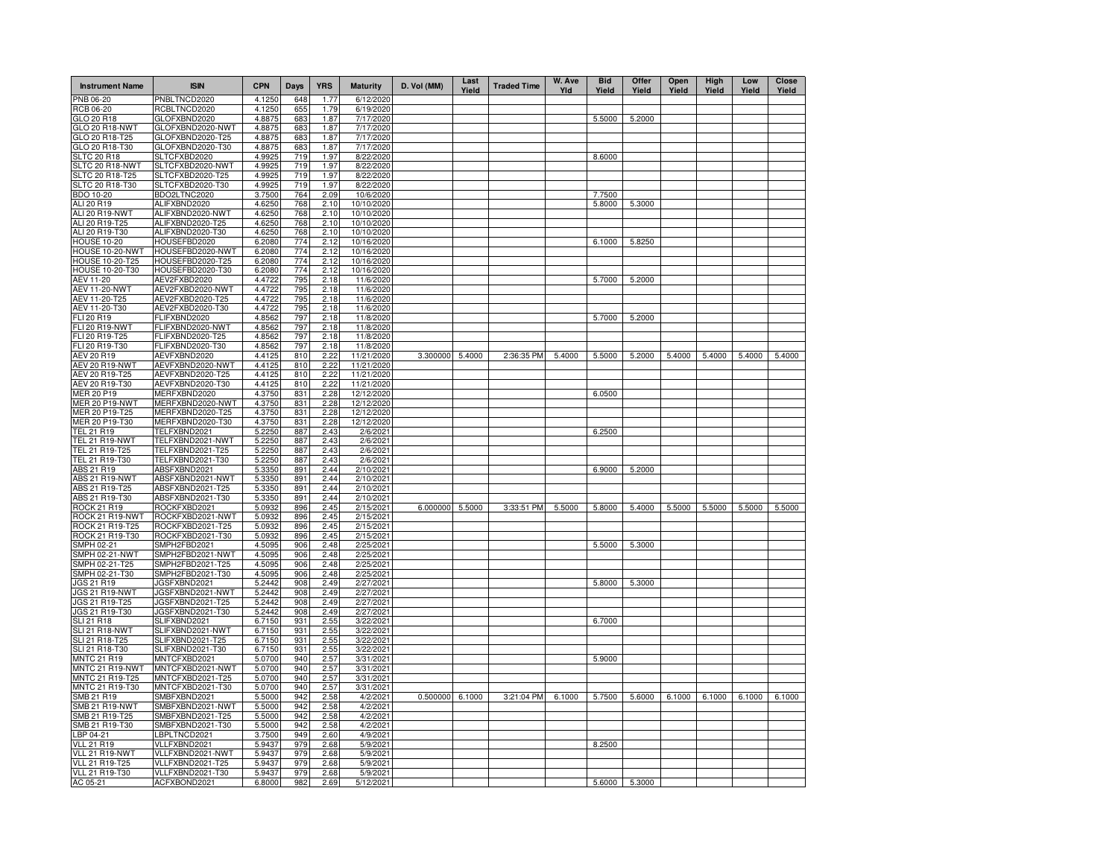| <b>Instrument Name</b>             | <b>ISIN</b>                          | <b>CPN</b>       | Days       | <b>YRS</b>   | <b>Maturity</b>          | D. Vol (MM)     | Last<br>Yield | <b>Traded Time</b> | W. Ave<br>Yld | <b>Bid</b><br>Yield | Offer<br>Yield | Open<br>Yield | High<br>Yield | Low<br>Yield | Close<br>Yield |
|------------------------------------|--------------------------------------|------------------|------------|--------------|--------------------------|-----------------|---------------|--------------------|---------------|---------------------|----------------|---------------|---------------|--------------|----------------|
| PNB 06-20                          | PNBLTNCD2020                         | 4.1250           | 648        | 1.77         | 6/12/2020                |                 |               |                    |               |                     |                |               |               |              |                |
| RCB 06-20                          | RCBLTNCD2020                         | 4.1250           | 655        | 1.79         | 6/19/2020                |                 |               |                    |               |                     |                |               |               |              |                |
| GLO 20 R18                         | GLOFXBND2020                         | 4.8875           | 683        | 1.87         | 7/17/2020                |                 |               |                    |               | 5.5000              | 5.2000         |               |               |              |                |
| GLO 20 R18-NWT<br>GLO 20 R18-T25   | GLOFXBND2020-NWT<br>GLOFXBND2020-T25 | 4.8875<br>4.8875 | 683<br>683 | 1.87<br>1.87 | 7/17/2020<br>7/17/2020   |                 |               |                    |               |                     |                |               |               |              |                |
| GLO 20 R18-T30                     | GLOFXBND2020-T30                     | 4.8875           | 683        | 1.87         | 7/17/2020                |                 |               |                    |               |                     |                |               |               |              |                |
| <b>SLTC 20 R18</b>                 | SLTCFXBD2020                         | 4.9925           | 719        | 1.97         | 8/22/2020                |                 |               |                    |               | 8.6000              |                |               |               |              |                |
| SLTC 20 R18-NWT                    | SLTCFXBD2020-NWT                     | 4.9925           | 719        | 1.97         | 8/22/2020                |                 |               |                    |               |                     |                |               |               |              |                |
| SLTC 20 R18-T25                    | SLTCFXBD2020-T25                     | 4.9925           | 719        | 1.97         | 8/22/2020                |                 |               |                    |               |                     |                |               |               |              |                |
| SLTC 20 R18-T30                    | SLTCFXBD2020-T30                     | 4.9925           | 719        | 1.97         | 8/22/2020                |                 |               |                    |               |                     |                |               |               |              |                |
| BDO 10-20                          | BDO2LTNC2020                         | 3.7500           | 764        | 2.09         | 10/6/2020                |                 |               |                    |               | 7.7500              |                |               |               |              |                |
| ALI 20 R19                         | ALIFXBND2020                         | 4.6250           | 768        | 2.10         | 10/10/2020               |                 |               |                    |               | 5.8000              | 5.3000         |               |               |              |                |
| ALI 20 R19-NWT                     | ALIFXBND2020-NWT                     | 4.6250           | 768        | 2.10         | 10/10/2020               |                 |               |                    |               |                     |                |               |               |              |                |
| ALI 20 R19-T25<br>ALI 20 R19-T30   | ALIFXBND2020-T25                     | 4.6250<br>4.6250 | 768<br>768 | 2.10<br>2.10 | 10/10/2020<br>10/10/2020 |                 |               |                    |               |                     |                |               |               |              |                |
| <b>HOUSE 10-20</b>                 | ALIFXBND2020-T30<br>HOUSEFBD2020     | 6.2080           | 774        | 2.12         | 10/16/2020               |                 |               |                    |               | 6.1000              | 5.8250         |               |               |              |                |
| HOUSE 10-20-NWT                    | HOUSEFBD2020-NWT                     | 6.2080           | 774        | 2.12         | 10/16/2020               |                 |               |                    |               |                     |                |               |               |              |                |
| HOUSE 10-20-T25                    | HOUSEFBD2020-T25                     | 6.2080           | 774        | 2.12         | 10/16/2020               |                 |               |                    |               |                     |                |               |               |              |                |
| <b>HOUSE 10-20-T30</b>             | HOUSEFBD2020-T30                     | 6.2080           | 774        | 2.12         | 10/16/2020               |                 |               |                    |               |                     |                |               |               |              |                |
| AEV 11-20                          | AEV2FXBD2020                         | 4.4722           | 795        | 2.18         | 11/6/2020                |                 |               |                    |               | 5.7000              | 5.2000         |               |               |              |                |
| <b>AEV 11-20-NWT</b>               | AEV2FXBD2020-NWT                     | 4.4722           | 795        | 2.18         | 11/6/2020                |                 |               |                    |               |                     |                |               |               |              |                |
| AEV 11-20-T25                      | AEV2FXBD2020-T25                     | 4.4722           | 795        | 2.18         | 11/6/2020                |                 |               |                    |               |                     |                |               |               |              |                |
| AEV 11-20-T30                      | AEV2FXBD2020-T30                     | 4.4722           | 795        | 2.18         | 11/6/2020                |                 |               |                    |               |                     |                |               |               |              |                |
| FLI 20 R19                         | FLIFXBND2020                         | 4.8562           | 797        | 2.18         | 11/8/2020                |                 |               |                    |               | 5.7000              | 5.2000         |               |               |              |                |
| FLI 20 R19-NWT                     | FLIFXBND2020-NWT                     | 4.8562           | 797        | 2.18         | 11/8/2020                |                 |               |                    |               |                     |                |               |               |              |                |
| FLI 20 R19-T25<br>FLI 20 R19-T30   | FLIFXBND2020-T25<br>FLIFXBND2020-T30 | 4.8562<br>4.8562 | 797<br>797 | 2.18<br>2.18 | 11/8/2020<br>11/8/2020   |                 |               |                    |               |                     |                |               |               |              |                |
| AEV 20 R19                         | AEVFXBND2020                         | 4.4125           | 810        | 2.22         | 11/21/2020               | 3.300000        | 5.4000        | 2:36:35 PM         | 5.4000        | 5.5000              | 5.2000         | 5.4000        | 5.4000        | 5.4000       | 5.4000         |
| AEV 20 R19-NWT                     | AEVFXBND2020-NWT                     | 4.4125           | 810        | 2.22         | 11/21/2020               |                 |               |                    |               |                     |                |               |               |              |                |
| AEV 20 R19-T25                     | AEVFXBND2020-T25                     | 4.4125           | 810        | 2.22         | 11/21/2020               |                 |               |                    |               |                     |                |               |               |              |                |
| AEV 20 R19-T30                     | AEVFXBND2020-T30                     | 4.4125           | 810        | 2.22         | 11/21/2020               |                 |               |                    |               |                     |                |               |               |              |                |
| MER 20 P19                         | MERFXBND2020                         | 4.3750           | 831        | 2.28         | 12/12/2020               |                 |               |                    |               | 6.0500              |                |               |               |              |                |
| <b>MER 20 P19-NWT</b>              | MERFXBND2020-NWT                     | 4.3750           | 831        | 2.28         | 12/12/2020               |                 |               |                    |               |                     |                |               |               |              |                |
| MER 20 P19-T25                     | MERFXBND2020-T25                     | 4.3750           | 831        | 2.28         | 12/12/2020               |                 |               |                    |               |                     |                |               |               |              |                |
| MER 20 P19-T30                     | MERFXBND2020-T30                     | 4.3750           | 831        | 2.28         | 12/12/2020               |                 |               |                    |               |                     |                |               |               |              |                |
| TEL 21 R19                         | TELFXBND2021                         | 5.2250           | 887        | 2.43         | 2/6/2021                 |                 |               |                    |               | 6.2500              |                |               |               |              |                |
| TEL 21 R19-NWT<br>TEL 21 R19-T25   | TELFXBND2021-NWT<br>TELFXBND2021-T25 | 5.2250<br>5.2250 | 887<br>887 | 2.43<br>2.43 | 2/6/2021<br>2/6/2021     |                 |               |                    |               |                     |                |               |               |              |                |
| TEL 21 R19-T30                     | TELFXBND2021-T30                     | 5.2250           | 887        | 2.43         | 2/6/2021                 |                 |               |                    |               |                     |                |               |               |              |                |
| ABS 21 R19                         | ABSFXBND2021                         | 5.3350           | 891        | 2.44         | 2/10/2021                |                 |               |                    |               | 6.9000              | 5.2000         |               |               |              |                |
| <b>ABS 21 R19-NWT</b>              | ABSFXBND2021-NWT                     | 5.3350           | 891        | 2.44         | 2/10/2021                |                 |               |                    |               |                     |                |               |               |              |                |
| ABS 21 R19-T25                     | ABSFXBND2021-T25                     | 5.3350           | 891        | 2.44         | 2/10/2021                |                 |               |                    |               |                     |                |               |               |              |                |
| ABS 21 R19-T30                     | ABSFXBND2021-T30                     | 5.3350           | 891        | 2.44         | 2/10/2021                |                 |               |                    |               |                     |                |               |               |              |                |
| ROCK 21 R19                        | ROCKFXBD2021                         | 5.0932           | 896        | 2.45         | 2/15/2021                | 6.000000 5.5000 |               | 3:33:51 PM         | 5.5000        | 5.8000              | 5.4000         | 5.5000        | 5.5000        | 5.5000       | 5.5000         |
| ROCK 21 R19-NWT                    | ROCKFXBD2021-NWT                     | 5.0932           | 896        | 2.45         | 2/15/2021                |                 |               |                    |               |                     |                |               |               |              |                |
| ROCK 21 R19-T25<br>ROCK 21 R19-T30 | ROCKFXBD2021-T25<br>ROCKFXBD2021-T30 | 5.0932<br>5.0932 | 896<br>896 | 2.45<br>2.45 | 2/15/2021<br>2/15/2021   |                 |               |                    |               |                     |                |               |               |              |                |
| SMPH 02-21                         | SMPH2FBD2021                         | 4.5095           | 906        | 2.48         | 2/25/2021                |                 |               |                    |               | 5.5000              | 5.3000         |               |               |              |                |
| SMPH 02-21-NWT                     | SMPH2FBD2021-NWT                     | 4.5095           | 906        | 2.48         | 2/25/2021                |                 |               |                    |               |                     |                |               |               |              |                |
| SMPH 02-21-T25                     | SMPH2FBD2021-T25                     | 4.5095           | 906        | 2.48         | 2/25/2021                |                 |               |                    |               |                     |                |               |               |              |                |
| SMPH 02-21-T30                     | SMPH2FBD2021-T30                     | 4.5095           | 906        | 2.48         | 2/25/2021                |                 |               |                    |               |                     |                |               |               |              |                |
| JGS 21 R19                         | JGSFXBND2021                         | 5.2442           | 908        | 2.49         | 2/27/2021                |                 |               |                    |               | 5.8000              | 5.3000         |               |               |              |                |
| JGS 21 R19-NWT                     | JGSFXBND2021-NWT                     | 5.2442           | 908        | 2.49         | 2/27/2021                |                 |               |                    |               |                     |                |               |               |              |                |
| JGS 21 R19-T25                     | JGSFXBND2021-T25                     | 5.2442           | 908        | 2.49         | 2/27/2021                |                 |               |                    |               |                     |                |               |               |              |                |
| JGS 21 R19-T30                     | JGSFXBND2021-T30                     | 5.2442<br>6.7150 | 908<br>931 | 2.49         | 2/27/2021<br>3/22/2021   |                 |               |                    |               |                     |                |               |               |              |                |
| SLI 21 R18<br>SLI 21 R18-NWT       | SLIFXBND2021<br>SLIFXBND2021-NWT     | 6.7150           | 931        | 2.55<br>2.55 | 3/22/2021                |                 |               |                    |               | 6.7000              |                |               |               |              |                |
| SLI 21 R18-T25                     | SLIFXBND2021-T25                     | 6.7150           | 931        | 2.55         | 3/22/2021                |                 |               |                    |               |                     |                |               |               |              |                |
| SLI 21 R18-T30                     | SLIFXBND2021-T30                     | 6.7150           | 931        | 2.55         | 3/22/2021                |                 |               |                    |               |                     |                |               |               |              |                |
| <b>MNTC 21 R19</b>                 | MNTCFXBD2021                         | 5.0700           | 940        | 2.57         | 3/31/2021                |                 |               |                    |               | 5.9000              |                |               |               |              |                |
| MNTC 21 R19-NWT                    | MNTCFXBD2021-NWT                     | 5.0700           | 940        | 2.57         | 3/31/2021                |                 |               |                    |               |                     |                |               |               |              |                |
| MNTC 21 R19-T25                    | MNTCFXBD2021-T25                     | 5.0700           | 940        | 2.57         | 3/31/2021                |                 |               |                    |               |                     |                |               |               |              |                |
| MNTC 21 R19-T30                    | MNTCFXBD2021-T30                     | 5.0700           | 940        | 2.57         | 3/31/2021                |                 |               |                    |               |                     |                |               |               |              |                |
| SMB 21 R19                         | SMBFXBND2021                         | 5.5000           | 942        | 2.58         | 4/2/2021                 | 0.500000        | 6.1000        | 3:21:04 PM         | 6.1000        | 5.7500              | 5.6000         | 6.1000        | 6.1000        | 6.1000       | 6.1000         |
| SMB 21 R19-NWT                     | SMBFXBND2021-NWT                     | 5.5000           | 942        | 2.58         | 4/2/2021                 |                 |               |                    |               |                     |                |               |               |              |                |
| SMB 21 R19-T25                     | SMBFXBND2021-T25                     | 5.5000           | 942        | 2.58         | 4/2/2021                 |                 |               |                    |               |                     |                |               |               |              |                |
| SMB 21 R19-T30<br>LBP 04-21        | SMBFXBND2021-T30<br>LBPLTNCD2021     | 5.5000<br>3.7500 | 942<br>949 | 2.58<br>2.60 | 4/2/2021<br>4/9/2021     |                 |               |                    |               |                     |                |               |               |              |                |
| <b>VLL 21 R19</b>                  | VLLFXBND2021                         | 5.9437           | 979        | 2.68         | 5/9/2021                 |                 |               |                    |               | 8.2500              |                |               |               |              |                |
| VLL 21 R19-NWT                     | VLLFXBND2021-NWT                     | 5.9437           | 979        | 2.68         | 5/9/2021                 |                 |               |                    |               |                     |                |               |               |              |                |
| <b>VLL 21 R19-T25</b>              | VLLFXBND2021-T25                     | 5.9437           | 979        | 2.68         | 5/9/2021                 |                 |               |                    |               |                     |                |               |               |              |                |
| VLL 21 R19-T30                     | VLLFXBND2021-T30                     | 5.9437           | 979        | 2.68         | 5/9/2021                 |                 |               |                    |               |                     |                |               |               |              |                |
| AC 05-21                           | ACFXBOND2021                         | 6.8000           | 982        | 2.69         | 5/12/2021                |                 |               |                    |               | 5.6000              | 5.3000         |               |               |              |                |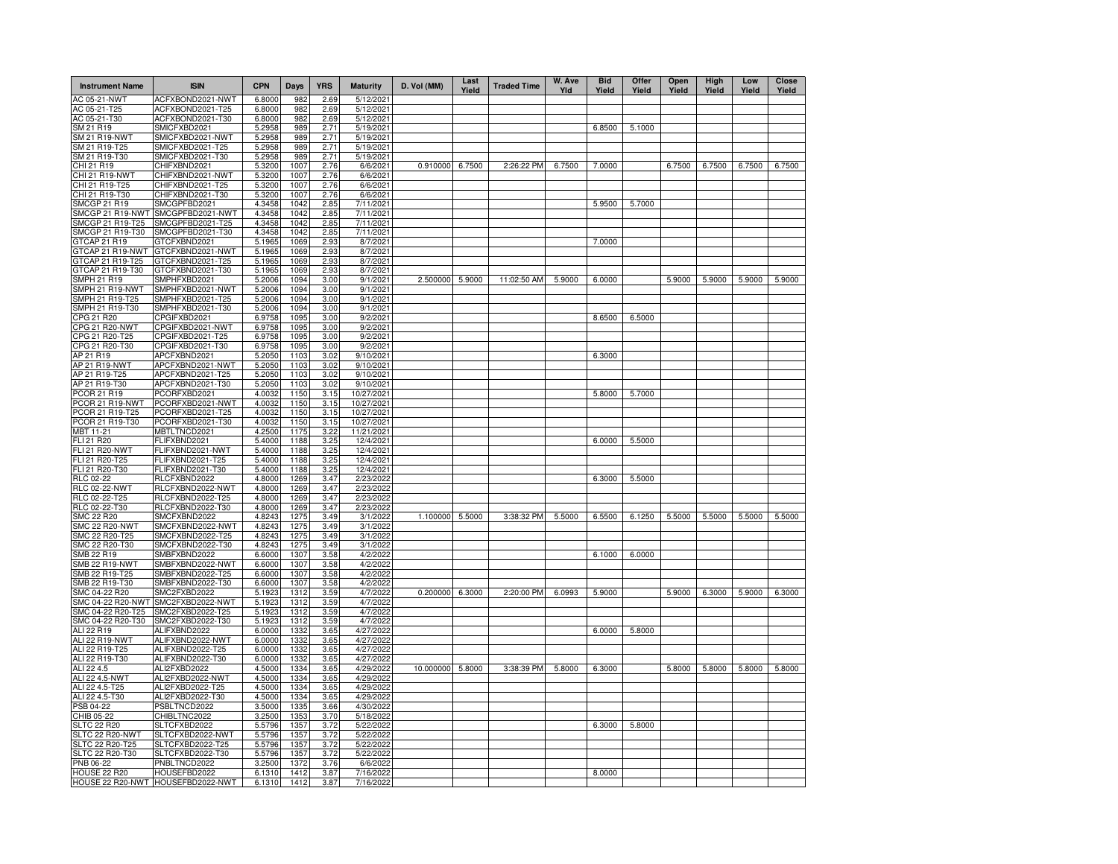| AC 05-21-NWT<br>ACFXBOND2021-NWT<br>6.8000<br>982<br>2.69<br>5/12/2021<br>ACFXBOND2021-T25<br>6.8000<br>982<br>2.69<br>AC 05-21-T25<br>5/12/2021<br>AC 05-21-T30<br>ACFXBOND2021-T30<br>6.8000<br>982<br>2.69<br>5/12/2021<br>6.8500<br>SM 21 R19<br>SMICFXBD2021<br>989<br>5.1000<br>5.2958<br>2.71<br>5/19/2021<br>SMICFXBD2021-NWT<br>SM 21 R19-NWT<br>5.2958<br>989<br>2.71<br>5/19/2021<br>SMICFXBD2021-T25<br>SM 21 R19-T25<br>989<br>2.71<br>5.2958<br>5/19/2021<br>SM 21 R19-T30<br>SMICFXBD2021-T30<br>5.2958<br>989<br>2.71<br>5/19/2021<br>0.910000<br>CHI 21 R19<br>CHIFXBND2021<br>5.3200<br>1007<br>2.76<br>6/6/2021<br>6.7500<br>2:26:22 PM<br>6.7500<br>7.0000<br>6.7500<br>6.7500<br>6.7500<br>6.7500<br>CHI 21 R19-NWT<br>CHIFXBND2021-NWT<br>5.3200<br>1007<br>2.76<br>6/6/2021<br>CHI 21 R19-T25<br>CHIFXBND2021-T25<br>5.3200<br>1007<br>2.76<br>6/6/2021<br>CHI 21 R19-T30<br>CHIFXBND2021-T30<br>5.3200<br>1007<br>2.76<br>6/6/2021<br>5.9500<br><b>SMCGP 21 R19</b><br>SMCGPFBD2021<br>4.3458<br>1042<br>2.85<br>7/11/2021<br>5.7000<br>SMCGP 21 R19-NWT<br>SMCGPFBD2021-NWT<br>4.3458<br>1042<br>2.85<br>7/11/2021<br>SMCGP 21 R19-T25<br>SMCGPFBD2021-T25<br>4.3458<br>1042<br>2.85<br>7/11/2021<br>SMCGP 21 R19-T30<br>SMCGPFBD2021-T30<br>4.3458<br>1042<br>2.85<br>7/11/2021<br>GTCAP 21 R19<br>GTCFXBND2021<br>5.1965<br>1069<br>2.93<br>7.0000<br>8/7/2021<br>GTCAP 21 R19-NWT<br>GTCFXBND2021-NWT<br>5.1965<br>1069<br>2.93<br>8/7/2021<br>GTCAP 21 R19-T25<br>GTCFXBND2021-T25<br>1069<br>2.93<br>5.1965<br>8/7/2021<br>GTCAP 21 R19-T30<br>GTCFXBND2021-T30<br>5.1965<br>1069<br>2.93<br>8/7/2021<br>2.500000<br>5.9000<br>5.9000<br>5.9000<br>5.9000<br><b>SMPH 21 R19</b><br>SMPHFXBD2021<br>5.2006<br>1094<br>3.00<br>9/1/2021<br>11:02:50 AM<br>6.0000<br>5.9000<br>5.9000<br>SMPH 21 R19-NWT<br>SMPHFXBD2021-NWT<br>5.2006<br>1094<br>3.00<br>9/1/2021<br>SMPH 21 R19-T25<br>SMPHFXBD2021-T25<br>5.2006<br>1094<br>3.00<br>9/1/2021<br>SMPH 21 R19-T30<br>SMPHFXBD2021-T30<br>5.2006<br>1094<br>3.00<br>9/1/2021<br>8.6500<br>CPG 21 R20<br>CPGIFXBD2021<br>6.9758<br>1095<br>3.00<br>9/2/2021<br>6.5000<br><b>CPG 21 R20-NWT</b><br>CPGIFXBD2021-NWT<br>6.9758<br>1095<br>3.00<br>9/2/2021<br>CPG 21 R20-T25<br>CPGIFXBD2021-T25<br>6.9758<br>1095<br>3.00<br>9/2/2021<br>CPG 21 R20-T30<br>CPGIFXBD2021-T30<br>6.9758<br>1095<br>3.00<br>9/2/2021<br>AP 21 R19<br>APCFXBND2021<br>5.2050<br>1103<br>3.02<br>9/10/2021<br>6.3000<br>AP 21 R19-NWT<br>APCFXBND2021-NWT<br>5.2050<br>1103<br>3.02<br>9/10/2021<br>AP 21 R19-T25<br>APCFXBND2021-T25<br>5.2050<br>1103<br>3.02<br>9/10/2021<br>AP 21 R19-T30<br>APCFXBND2021-T30<br>5.2050<br>1103<br>3.02<br>9/10/2021<br>PCORFXBD2021<br>4.0032<br>10/27/2021<br>5.8000<br>5.7000<br>PCOR 21 R19<br>1150<br>3.15<br>PCORFXBD2021-NWT<br>PCOR 21 R19-NWT<br>4.0032<br>1150<br>3.15<br>10/27/2021<br>PCORFXBD2021-T25<br>PCOR 21 R19-T25<br>4.0032<br>1150<br>3.15<br>10/27/2021<br>PCOR 21 R19-T30<br>PCORFXBD2021-T30<br>4.0032<br>1150<br>3.15<br>10/27/2021<br>MBT 11-21<br>MBTLTNCD2021<br>4.2500<br>1175<br>3.22<br>11/21/2021<br>6.0000<br>FLI 21 R20<br>FLIFXBND2021<br>5.4000<br>1188<br>3.25<br>12/4/2021<br>5.5000<br><b>FLI 21 R20-NWT</b><br>FLIFXBND2021-NWT<br>5.4000<br>1188<br>3.25<br>12/4/2021<br>FLI 21 R20-T25<br>FLIFXBND2021-T25<br>5.4000<br>1188<br>3.25<br>12/4/2021<br>FLI 21 R20-T30<br>FLIFXBND2021-T30<br>5.4000<br>1188<br>3.25<br>12/4/2021<br>RLC 02-22<br>RLCFXBND2022<br>4.8000<br>1269<br>3.47<br>2/23/2022<br>6.3000<br>5.5000<br><b>RLC 02-22-NWT</b><br>RLCFXBND2022-NWT<br>4.8000<br>1269<br>3.47<br>2/23/202<br>RLCFXBND2022-T25<br>RLC 02-22-T25<br>4.8000<br>1269<br>3.47<br>2/23/2022<br>RLC 02-22-T30<br>RLCFXBND2022-T30<br>4.8000<br>3.47<br>1269<br>2/23/2022<br><b>SMC 22 R20</b><br>SMCFXBND2022<br>4.8243<br>1275<br>3.49<br>1.100000<br>5.5000<br>3:38:32 PM<br>5.5000<br>6.5500<br>6.1250<br>5.5000<br>5.5000<br>5.5000<br>5.5000<br>3/1/2022<br><b>SMC 22 R20-NWT</b><br>SMCFXBND2022-NWT<br>4.8243<br>1275<br>3.49<br>3/1/2022<br>SMC 22 R20-T25<br>SMCFXBND2022-T25<br>4.8243<br>1275<br>3.49<br>3/1/2022<br>SMC 22 R20-T30<br>SMCFXBND2022-T30<br>4.8243<br>1275<br>3.49<br>3/1/2022<br>SMB 22 R19<br>SMBFXBND2022<br>6.6000<br>6.1000<br>6.0000<br>1307<br>3.58<br>4/2/2022<br><b>SMB 22 R19-NWT</b><br>SMBFXBND2022-NWT<br>6.6000<br>1307<br>3.58<br>4/2/2022<br>SMB 22 R19-T25<br>SMBFXBND2022-T25<br>6.6000<br>1307<br>3.58<br>4/2/2022<br>SMB 22 R19-T30<br>SMBFXBND2022-T30<br>6.6000<br>1307<br>3.58<br>4/2/2022<br>0.200000<br>2:20:00 PM<br>6.0993<br>5.9000<br>5.9000<br>6.3000<br>5.9000<br>SMC 04-22 R20<br>SMC2FXBD2022<br>5.1923<br>1312<br>3.59<br>4/7/2022<br>6.3000<br>6.3000<br>SMC 04-22 R20-NWT<br>SMC2FXBD2022-NWT<br>5.1923<br>1312<br>3.59<br>4/7/2022<br>SMC 04-22 R20-T25<br>SMC2FXBD2022-T25<br>5.1923<br>1312<br>3.59<br>4/7/2022<br>SMC 04-22 R20-T30<br>5.1923<br>SMC2FXBD2022-T30<br>1312<br>3.59<br>4/7/2022<br>ALI 22 R19<br>ALIFXBND2022<br>6.0000<br>1332<br>4/27/2022<br>6.0000<br>5.8000<br>3.65<br>ALI 22 R19-NWT<br>ALIFXBND2022-NWT<br>6.0000<br>1332<br>4/27/2022<br>3.65<br>ALI 22 R19-T25<br>ALIFXBND2022-T25<br>6.0000<br>1332<br>4/27/2022<br>3.65<br>ALI 22 R19-T30<br>ALIFXBND2022-T30<br>6.0000<br>1332<br>4/27/2022<br>3.65<br>ALI2FXBD2022<br>4.5000<br>4/29/2022<br>10.000000<br>5.8000<br>3:38:39 PM<br>5.8000<br>6.3000<br>5.8000<br>5.8000<br>5.8000<br>5.8000<br>ALI 22 4.5<br>1334<br>3.65<br>ALI 22 4.5-NWT<br>ALI2FXBD2022-NWT<br>4.5000<br>1334<br>3.65<br>4/29/2022<br>ALI 22 4.5-T25<br>ALI2FXBD2022-T25<br>4.5000<br>4/29/2022<br>1334<br>3.65<br>ALI 22 4.5-T30<br>ALI2FXBD2022-T30<br>4.5000<br>1334<br>4/29/2022<br>3.65<br>PSBLTNCD2022<br>3.5000<br>PSB 04-22<br>1335<br>3.66<br>4/30/2022<br>CHIB 05-22<br>CHIBLTNC2022<br>3.2500<br>1353<br>3.70<br>5/18/2022<br>5.5796<br>1357<br>6.3000<br>5.8000<br><b>SLTC 22 R20</b><br>SLTCFXBD2022<br>3.72<br>5/22/2022<br>SLTCFXBD2022-NWT<br>5.5796<br>1357<br>5/22/2022<br>SLTC 22 R20-NWT<br>3.72<br>SLTC 22 R20-T25<br>SLTCFXBD2022-T25<br>5.5796<br>1357<br>3.72<br>5/22/2022<br>SLTC 22 R20-T30<br>SLTCFXBD2022-T30<br>5.5796<br>1357<br>3.72<br>5/22/2022<br>PNB 06-22<br>PNBLTNCD2022<br>3.2500<br>1372<br>3.76<br>6/6/2022<br><b>HOUSE 22 R20</b><br>HOUSEFBD2022<br>6.1310<br>1412<br>3.87<br>7/16/2022<br>8.0000<br>HOUSE 22 R20-NWT HOUSEFBD2022-NWT<br>6.1310<br>1412<br>3.87<br>7/16/2022 | <b>Instrument Name</b> | <b>ISIN</b> | <b>CPN</b> | Days | <b>YRS</b> | <b>Maturity</b> | D. Vol (MM) | Last<br>Yield | <b>Traded Time</b> | W. Ave<br>Yld | <b>Bid</b><br>Yield | Offer<br>Yield | Open<br>Yield | High<br>Yield | Low<br>Yield | Close<br>Yield |
|-------------------------------------------------------------------------------------------------------------------------------------------------------------------------------------------------------------------------------------------------------------------------------------------------------------------------------------------------------------------------------------------------------------------------------------------------------------------------------------------------------------------------------------------------------------------------------------------------------------------------------------------------------------------------------------------------------------------------------------------------------------------------------------------------------------------------------------------------------------------------------------------------------------------------------------------------------------------------------------------------------------------------------------------------------------------------------------------------------------------------------------------------------------------------------------------------------------------------------------------------------------------------------------------------------------------------------------------------------------------------------------------------------------------------------------------------------------------------------------------------------------------------------------------------------------------------------------------------------------------------------------------------------------------------------------------------------------------------------------------------------------------------------------------------------------------------------------------------------------------------------------------------------------------------------------------------------------------------------------------------------------------------------------------------------------------------------------------------------------------------------------------------------------------------------------------------------------------------------------------------------------------------------------------------------------------------------------------------------------------------------------------------------------------------------------------------------------------------------------------------------------------------------------------------------------------------------------------------------------------------------------------------------------------------------------------------------------------------------------------------------------------------------------------------------------------------------------------------------------------------------------------------------------------------------------------------------------------------------------------------------------------------------------------------------------------------------------------------------------------------------------------------------------------------------------------------------------------------------------------------------------------------------------------------------------------------------------------------------------------------------------------------------------------------------------------------------------------------------------------------------------------------------------------------------------------------------------------------------------------------------------------------------------------------------------------------------------------------------------------------------------------------------------------------------------------------------------------------------------------------------------------------------------------------------------------------------------------------------------------------------------------------------------------------------------------------------------------------------------------------------------------------------------------------------------------------------------------------------------------------------------------------------------------------------------------------------------------------------------------------------------------------------------------------------------------------------------------------------------------------------------------------------------------------------------------------------------------------------------------------------------------------------------------------------------------------------------------------------------------------------------------------------------------------------------------------------------------------------------------------------------------------------------------------------------------------------------------------------------------------------------------------------------------------------------------------------------------------------------------------------------------------------------------------------------------------------------------------------------------------------------------------------------------------------------------------------------------------------------------------------------------------------------------------------------------------------------------------------------------------------------------------------------------------------------------------------------------------------------------------------------------------------------------------------------------------------------------------------------------------------------------------------------------------------------------------------------------------------------------------------------------------------------------------------------------------------------------------------------------------------------------------------------------------------------------------------------------------------------------------------------------------------------------------------------------------------------------------------------------------------------------------------------------------------------------------------------------------------------------------------------------------------------------------------------------------------------------|------------------------|-------------|------------|------|------------|-----------------|-------------|---------------|--------------------|---------------|---------------------|----------------|---------------|---------------|--------------|----------------|
|                                                                                                                                                                                                                                                                                                                                                                                                                                                                                                                                                                                                                                                                                                                                                                                                                                                                                                                                                                                                                                                                                                                                                                                                                                                                                                                                                                                                                                                                                                                                                                                                                                                                                                                                                                                                                                                                                                                                                                                                                                                                                                                                                                                                                                                                                                                                                                                                                                                                                                                                                                                                                                                                                                                                                                                                                                                                                                                                                                                                                                                                                                                                                                                                                                                                                                                                                                                                                                                                                                                                                                                                                                                                                                                                                                                                                                                                                                                                                                                                                                                                                                                                                                                                                                                                                                                                                                                                                                                                                                                                                                                                                                                                                                                                                                                                                                                                                                                                                                                                                                                                                                                                                                                                                                                                                                                                                                                                                                                                                                                                                                                                                                                                                                                                                                                                                                                                                                                                                                                                                                                                                                                                                                                                                                                                                                                                                                                                                                                                   |                        |             |            |      |            |                 |             |               |                    |               |                     |                |               |               |              |                |
|                                                                                                                                                                                                                                                                                                                                                                                                                                                                                                                                                                                                                                                                                                                                                                                                                                                                                                                                                                                                                                                                                                                                                                                                                                                                                                                                                                                                                                                                                                                                                                                                                                                                                                                                                                                                                                                                                                                                                                                                                                                                                                                                                                                                                                                                                                                                                                                                                                                                                                                                                                                                                                                                                                                                                                                                                                                                                                                                                                                                                                                                                                                                                                                                                                                                                                                                                                                                                                                                                                                                                                                                                                                                                                                                                                                                                                                                                                                                                                                                                                                                                                                                                                                                                                                                                                                                                                                                                                                                                                                                                                                                                                                                                                                                                                                                                                                                                                                                                                                                                                                                                                                                                                                                                                                                                                                                                                                                                                                                                                                                                                                                                                                                                                                                                                                                                                                                                                                                                                                                                                                                                                                                                                                                                                                                                                                                                                                                                                                                   |                        |             |            |      |            |                 |             |               |                    |               |                     |                |               |               |              |                |
|                                                                                                                                                                                                                                                                                                                                                                                                                                                                                                                                                                                                                                                                                                                                                                                                                                                                                                                                                                                                                                                                                                                                                                                                                                                                                                                                                                                                                                                                                                                                                                                                                                                                                                                                                                                                                                                                                                                                                                                                                                                                                                                                                                                                                                                                                                                                                                                                                                                                                                                                                                                                                                                                                                                                                                                                                                                                                                                                                                                                                                                                                                                                                                                                                                                                                                                                                                                                                                                                                                                                                                                                                                                                                                                                                                                                                                                                                                                                                                                                                                                                                                                                                                                                                                                                                                                                                                                                                                                                                                                                                                                                                                                                                                                                                                                                                                                                                                                                                                                                                                                                                                                                                                                                                                                                                                                                                                                                                                                                                                                                                                                                                                                                                                                                                                                                                                                                                                                                                                                                                                                                                                                                                                                                                                                                                                                                                                                                                                                                   |                        |             |            |      |            |                 |             |               |                    |               |                     |                |               |               |              |                |
|                                                                                                                                                                                                                                                                                                                                                                                                                                                                                                                                                                                                                                                                                                                                                                                                                                                                                                                                                                                                                                                                                                                                                                                                                                                                                                                                                                                                                                                                                                                                                                                                                                                                                                                                                                                                                                                                                                                                                                                                                                                                                                                                                                                                                                                                                                                                                                                                                                                                                                                                                                                                                                                                                                                                                                                                                                                                                                                                                                                                                                                                                                                                                                                                                                                                                                                                                                                                                                                                                                                                                                                                                                                                                                                                                                                                                                                                                                                                                                                                                                                                                                                                                                                                                                                                                                                                                                                                                                                                                                                                                                                                                                                                                                                                                                                                                                                                                                                                                                                                                                                                                                                                                                                                                                                                                                                                                                                                                                                                                                                                                                                                                                                                                                                                                                                                                                                                                                                                                                                                                                                                                                                                                                                                                                                                                                                                                                                                                                                                   |                        |             |            |      |            |                 |             |               |                    |               |                     |                |               |               |              |                |
|                                                                                                                                                                                                                                                                                                                                                                                                                                                                                                                                                                                                                                                                                                                                                                                                                                                                                                                                                                                                                                                                                                                                                                                                                                                                                                                                                                                                                                                                                                                                                                                                                                                                                                                                                                                                                                                                                                                                                                                                                                                                                                                                                                                                                                                                                                                                                                                                                                                                                                                                                                                                                                                                                                                                                                                                                                                                                                                                                                                                                                                                                                                                                                                                                                                                                                                                                                                                                                                                                                                                                                                                                                                                                                                                                                                                                                                                                                                                                                                                                                                                                                                                                                                                                                                                                                                                                                                                                                                                                                                                                                                                                                                                                                                                                                                                                                                                                                                                                                                                                                                                                                                                                                                                                                                                                                                                                                                                                                                                                                                                                                                                                                                                                                                                                                                                                                                                                                                                                                                                                                                                                                                                                                                                                                                                                                                                                                                                                                                                   |                        |             |            |      |            |                 |             |               |                    |               |                     |                |               |               |              |                |
|                                                                                                                                                                                                                                                                                                                                                                                                                                                                                                                                                                                                                                                                                                                                                                                                                                                                                                                                                                                                                                                                                                                                                                                                                                                                                                                                                                                                                                                                                                                                                                                                                                                                                                                                                                                                                                                                                                                                                                                                                                                                                                                                                                                                                                                                                                                                                                                                                                                                                                                                                                                                                                                                                                                                                                                                                                                                                                                                                                                                                                                                                                                                                                                                                                                                                                                                                                                                                                                                                                                                                                                                                                                                                                                                                                                                                                                                                                                                                                                                                                                                                                                                                                                                                                                                                                                                                                                                                                                                                                                                                                                                                                                                                                                                                                                                                                                                                                                                                                                                                                                                                                                                                                                                                                                                                                                                                                                                                                                                                                                                                                                                                                                                                                                                                                                                                                                                                                                                                                                                                                                                                                                                                                                                                                                                                                                                                                                                                                                                   |                        |             |            |      |            |                 |             |               |                    |               |                     |                |               |               |              |                |
|                                                                                                                                                                                                                                                                                                                                                                                                                                                                                                                                                                                                                                                                                                                                                                                                                                                                                                                                                                                                                                                                                                                                                                                                                                                                                                                                                                                                                                                                                                                                                                                                                                                                                                                                                                                                                                                                                                                                                                                                                                                                                                                                                                                                                                                                                                                                                                                                                                                                                                                                                                                                                                                                                                                                                                                                                                                                                                                                                                                                                                                                                                                                                                                                                                                                                                                                                                                                                                                                                                                                                                                                                                                                                                                                                                                                                                                                                                                                                                                                                                                                                                                                                                                                                                                                                                                                                                                                                                                                                                                                                                                                                                                                                                                                                                                                                                                                                                                                                                                                                                                                                                                                                                                                                                                                                                                                                                                                                                                                                                                                                                                                                                                                                                                                                                                                                                                                                                                                                                                                                                                                                                                                                                                                                                                                                                                                                                                                                                                                   |                        |             |            |      |            |                 |             |               |                    |               |                     |                |               |               |              |                |
|                                                                                                                                                                                                                                                                                                                                                                                                                                                                                                                                                                                                                                                                                                                                                                                                                                                                                                                                                                                                                                                                                                                                                                                                                                                                                                                                                                                                                                                                                                                                                                                                                                                                                                                                                                                                                                                                                                                                                                                                                                                                                                                                                                                                                                                                                                                                                                                                                                                                                                                                                                                                                                                                                                                                                                                                                                                                                                                                                                                                                                                                                                                                                                                                                                                                                                                                                                                                                                                                                                                                                                                                                                                                                                                                                                                                                                                                                                                                                                                                                                                                                                                                                                                                                                                                                                                                                                                                                                                                                                                                                                                                                                                                                                                                                                                                                                                                                                                                                                                                                                                                                                                                                                                                                                                                                                                                                                                                                                                                                                                                                                                                                                                                                                                                                                                                                                                                                                                                                                                                                                                                                                                                                                                                                                                                                                                                                                                                                                                                   |                        |             |            |      |            |                 |             |               |                    |               |                     |                |               |               |              |                |
|                                                                                                                                                                                                                                                                                                                                                                                                                                                                                                                                                                                                                                                                                                                                                                                                                                                                                                                                                                                                                                                                                                                                                                                                                                                                                                                                                                                                                                                                                                                                                                                                                                                                                                                                                                                                                                                                                                                                                                                                                                                                                                                                                                                                                                                                                                                                                                                                                                                                                                                                                                                                                                                                                                                                                                                                                                                                                                                                                                                                                                                                                                                                                                                                                                                                                                                                                                                                                                                                                                                                                                                                                                                                                                                                                                                                                                                                                                                                                                                                                                                                                                                                                                                                                                                                                                                                                                                                                                                                                                                                                                                                                                                                                                                                                                                                                                                                                                                                                                                                                                                                                                                                                                                                                                                                                                                                                                                                                                                                                                                                                                                                                                                                                                                                                                                                                                                                                                                                                                                                                                                                                                                                                                                                                                                                                                                                                                                                                                                                   |                        |             |            |      |            |                 |             |               |                    |               |                     |                |               |               |              |                |
|                                                                                                                                                                                                                                                                                                                                                                                                                                                                                                                                                                                                                                                                                                                                                                                                                                                                                                                                                                                                                                                                                                                                                                                                                                                                                                                                                                                                                                                                                                                                                                                                                                                                                                                                                                                                                                                                                                                                                                                                                                                                                                                                                                                                                                                                                                                                                                                                                                                                                                                                                                                                                                                                                                                                                                                                                                                                                                                                                                                                                                                                                                                                                                                                                                                                                                                                                                                                                                                                                                                                                                                                                                                                                                                                                                                                                                                                                                                                                                                                                                                                                                                                                                                                                                                                                                                                                                                                                                                                                                                                                                                                                                                                                                                                                                                                                                                                                                                                                                                                                                                                                                                                                                                                                                                                                                                                                                                                                                                                                                                                                                                                                                                                                                                                                                                                                                                                                                                                                                                                                                                                                                                                                                                                                                                                                                                                                                                                                                                                   |                        |             |            |      |            |                 |             |               |                    |               |                     |                |               |               |              |                |
|                                                                                                                                                                                                                                                                                                                                                                                                                                                                                                                                                                                                                                                                                                                                                                                                                                                                                                                                                                                                                                                                                                                                                                                                                                                                                                                                                                                                                                                                                                                                                                                                                                                                                                                                                                                                                                                                                                                                                                                                                                                                                                                                                                                                                                                                                                                                                                                                                                                                                                                                                                                                                                                                                                                                                                                                                                                                                                                                                                                                                                                                                                                                                                                                                                                                                                                                                                                                                                                                                                                                                                                                                                                                                                                                                                                                                                                                                                                                                                                                                                                                                                                                                                                                                                                                                                                                                                                                                                                                                                                                                                                                                                                                                                                                                                                                                                                                                                                                                                                                                                                                                                                                                                                                                                                                                                                                                                                                                                                                                                                                                                                                                                                                                                                                                                                                                                                                                                                                                                                                                                                                                                                                                                                                                                                                                                                                                                                                                                                                   |                        |             |            |      |            |                 |             |               |                    |               |                     |                |               |               |              |                |
|                                                                                                                                                                                                                                                                                                                                                                                                                                                                                                                                                                                                                                                                                                                                                                                                                                                                                                                                                                                                                                                                                                                                                                                                                                                                                                                                                                                                                                                                                                                                                                                                                                                                                                                                                                                                                                                                                                                                                                                                                                                                                                                                                                                                                                                                                                                                                                                                                                                                                                                                                                                                                                                                                                                                                                                                                                                                                                                                                                                                                                                                                                                                                                                                                                                                                                                                                                                                                                                                                                                                                                                                                                                                                                                                                                                                                                                                                                                                                                                                                                                                                                                                                                                                                                                                                                                                                                                                                                                                                                                                                                                                                                                                                                                                                                                                                                                                                                                                                                                                                                                                                                                                                                                                                                                                                                                                                                                                                                                                                                                                                                                                                                                                                                                                                                                                                                                                                                                                                                                                                                                                                                                                                                                                                                                                                                                                                                                                                                                                   |                        |             |            |      |            |                 |             |               |                    |               |                     |                |               |               |              |                |
|                                                                                                                                                                                                                                                                                                                                                                                                                                                                                                                                                                                                                                                                                                                                                                                                                                                                                                                                                                                                                                                                                                                                                                                                                                                                                                                                                                                                                                                                                                                                                                                                                                                                                                                                                                                                                                                                                                                                                                                                                                                                                                                                                                                                                                                                                                                                                                                                                                                                                                                                                                                                                                                                                                                                                                                                                                                                                                                                                                                                                                                                                                                                                                                                                                                                                                                                                                                                                                                                                                                                                                                                                                                                                                                                                                                                                                                                                                                                                                                                                                                                                                                                                                                                                                                                                                                                                                                                                                                                                                                                                                                                                                                                                                                                                                                                                                                                                                                                                                                                                                                                                                                                                                                                                                                                                                                                                                                                                                                                                                                                                                                                                                                                                                                                                                                                                                                                                                                                                                                                                                                                                                                                                                                                                                                                                                                                                                                                                                                                   |                        |             |            |      |            |                 |             |               |                    |               |                     |                |               |               |              |                |
|                                                                                                                                                                                                                                                                                                                                                                                                                                                                                                                                                                                                                                                                                                                                                                                                                                                                                                                                                                                                                                                                                                                                                                                                                                                                                                                                                                                                                                                                                                                                                                                                                                                                                                                                                                                                                                                                                                                                                                                                                                                                                                                                                                                                                                                                                                                                                                                                                                                                                                                                                                                                                                                                                                                                                                                                                                                                                                                                                                                                                                                                                                                                                                                                                                                                                                                                                                                                                                                                                                                                                                                                                                                                                                                                                                                                                                                                                                                                                                                                                                                                                                                                                                                                                                                                                                                                                                                                                                                                                                                                                                                                                                                                                                                                                                                                                                                                                                                                                                                                                                                                                                                                                                                                                                                                                                                                                                                                                                                                                                                                                                                                                                                                                                                                                                                                                                                                                                                                                                                                                                                                                                                                                                                                                                                                                                                                                                                                                                                                   |                        |             |            |      |            |                 |             |               |                    |               |                     |                |               |               |              |                |
|                                                                                                                                                                                                                                                                                                                                                                                                                                                                                                                                                                                                                                                                                                                                                                                                                                                                                                                                                                                                                                                                                                                                                                                                                                                                                                                                                                                                                                                                                                                                                                                                                                                                                                                                                                                                                                                                                                                                                                                                                                                                                                                                                                                                                                                                                                                                                                                                                                                                                                                                                                                                                                                                                                                                                                                                                                                                                                                                                                                                                                                                                                                                                                                                                                                                                                                                                                                                                                                                                                                                                                                                                                                                                                                                                                                                                                                                                                                                                                                                                                                                                                                                                                                                                                                                                                                                                                                                                                                                                                                                                                                                                                                                                                                                                                                                                                                                                                                                                                                                                                                                                                                                                                                                                                                                                                                                                                                                                                                                                                                                                                                                                                                                                                                                                                                                                                                                                                                                                                                                                                                                                                                                                                                                                                                                                                                                                                                                                                                                   |                        |             |            |      |            |                 |             |               |                    |               |                     |                |               |               |              |                |
|                                                                                                                                                                                                                                                                                                                                                                                                                                                                                                                                                                                                                                                                                                                                                                                                                                                                                                                                                                                                                                                                                                                                                                                                                                                                                                                                                                                                                                                                                                                                                                                                                                                                                                                                                                                                                                                                                                                                                                                                                                                                                                                                                                                                                                                                                                                                                                                                                                                                                                                                                                                                                                                                                                                                                                                                                                                                                                                                                                                                                                                                                                                                                                                                                                                                                                                                                                                                                                                                                                                                                                                                                                                                                                                                                                                                                                                                                                                                                                                                                                                                                                                                                                                                                                                                                                                                                                                                                                                                                                                                                                                                                                                                                                                                                                                                                                                                                                                                                                                                                                                                                                                                                                                                                                                                                                                                                                                                                                                                                                                                                                                                                                                                                                                                                                                                                                                                                                                                                                                                                                                                                                                                                                                                                                                                                                                                                                                                                                                                   |                        |             |            |      |            |                 |             |               |                    |               |                     |                |               |               |              |                |
|                                                                                                                                                                                                                                                                                                                                                                                                                                                                                                                                                                                                                                                                                                                                                                                                                                                                                                                                                                                                                                                                                                                                                                                                                                                                                                                                                                                                                                                                                                                                                                                                                                                                                                                                                                                                                                                                                                                                                                                                                                                                                                                                                                                                                                                                                                                                                                                                                                                                                                                                                                                                                                                                                                                                                                                                                                                                                                                                                                                                                                                                                                                                                                                                                                                                                                                                                                                                                                                                                                                                                                                                                                                                                                                                                                                                                                                                                                                                                                                                                                                                                                                                                                                                                                                                                                                                                                                                                                                                                                                                                                                                                                                                                                                                                                                                                                                                                                                                                                                                                                                                                                                                                                                                                                                                                                                                                                                                                                                                                                                                                                                                                                                                                                                                                                                                                                                                                                                                                                                                                                                                                                                                                                                                                                                                                                                                                                                                                                                                   |                        |             |            |      |            |                 |             |               |                    |               |                     |                |               |               |              |                |
|                                                                                                                                                                                                                                                                                                                                                                                                                                                                                                                                                                                                                                                                                                                                                                                                                                                                                                                                                                                                                                                                                                                                                                                                                                                                                                                                                                                                                                                                                                                                                                                                                                                                                                                                                                                                                                                                                                                                                                                                                                                                                                                                                                                                                                                                                                                                                                                                                                                                                                                                                                                                                                                                                                                                                                                                                                                                                                                                                                                                                                                                                                                                                                                                                                                                                                                                                                                                                                                                                                                                                                                                                                                                                                                                                                                                                                                                                                                                                                                                                                                                                                                                                                                                                                                                                                                                                                                                                                                                                                                                                                                                                                                                                                                                                                                                                                                                                                                                                                                                                                                                                                                                                                                                                                                                                                                                                                                                                                                                                                                                                                                                                                                                                                                                                                                                                                                                                                                                                                                                                                                                                                                                                                                                                                                                                                                                                                                                                                                                   |                        |             |            |      |            |                 |             |               |                    |               |                     |                |               |               |              |                |
|                                                                                                                                                                                                                                                                                                                                                                                                                                                                                                                                                                                                                                                                                                                                                                                                                                                                                                                                                                                                                                                                                                                                                                                                                                                                                                                                                                                                                                                                                                                                                                                                                                                                                                                                                                                                                                                                                                                                                                                                                                                                                                                                                                                                                                                                                                                                                                                                                                                                                                                                                                                                                                                                                                                                                                                                                                                                                                                                                                                                                                                                                                                                                                                                                                                                                                                                                                                                                                                                                                                                                                                                                                                                                                                                                                                                                                                                                                                                                                                                                                                                                                                                                                                                                                                                                                                                                                                                                                                                                                                                                                                                                                                                                                                                                                                                                                                                                                                                                                                                                                                                                                                                                                                                                                                                                                                                                                                                                                                                                                                                                                                                                                                                                                                                                                                                                                                                                                                                                                                                                                                                                                                                                                                                                                                                                                                                                                                                                                                                   |                        |             |            |      |            |                 |             |               |                    |               |                     |                |               |               |              |                |
|                                                                                                                                                                                                                                                                                                                                                                                                                                                                                                                                                                                                                                                                                                                                                                                                                                                                                                                                                                                                                                                                                                                                                                                                                                                                                                                                                                                                                                                                                                                                                                                                                                                                                                                                                                                                                                                                                                                                                                                                                                                                                                                                                                                                                                                                                                                                                                                                                                                                                                                                                                                                                                                                                                                                                                                                                                                                                                                                                                                                                                                                                                                                                                                                                                                                                                                                                                                                                                                                                                                                                                                                                                                                                                                                                                                                                                                                                                                                                                                                                                                                                                                                                                                                                                                                                                                                                                                                                                                                                                                                                                                                                                                                                                                                                                                                                                                                                                                                                                                                                                                                                                                                                                                                                                                                                                                                                                                                                                                                                                                                                                                                                                                                                                                                                                                                                                                                                                                                                                                                                                                                                                                                                                                                                                                                                                                                                                                                                                                                   |                        |             |            |      |            |                 |             |               |                    |               |                     |                |               |               |              |                |
|                                                                                                                                                                                                                                                                                                                                                                                                                                                                                                                                                                                                                                                                                                                                                                                                                                                                                                                                                                                                                                                                                                                                                                                                                                                                                                                                                                                                                                                                                                                                                                                                                                                                                                                                                                                                                                                                                                                                                                                                                                                                                                                                                                                                                                                                                                                                                                                                                                                                                                                                                                                                                                                                                                                                                                                                                                                                                                                                                                                                                                                                                                                                                                                                                                                                                                                                                                                                                                                                                                                                                                                                                                                                                                                                                                                                                                                                                                                                                                                                                                                                                                                                                                                                                                                                                                                                                                                                                                                                                                                                                                                                                                                                                                                                                                                                                                                                                                                                                                                                                                                                                                                                                                                                                                                                                                                                                                                                                                                                                                                                                                                                                                                                                                                                                                                                                                                                                                                                                                                                                                                                                                                                                                                                                                                                                                                                                                                                                                                                   |                        |             |            |      |            |                 |             |               |                    |               |                     |                |               |               |              |                |
|                                                                                                                                                                                                                                                                                                                                                                                                                                                                                                                                                                                                                                                                                                                                                                                                                                                                                                                                                                                                                                                                                                                                                                                                                                                                                                                                                                                                                                                                                                                                                                                                                                                                                                                                                                                                                                                                                                                                                                                                                                                                                                                                                                                                                                                                                                                                                                                                                                                                                                                                                                                                                                                                                                                                                                                                                                                                                                                                                                                                                                                                                                                                                                                                                                                                                                                                                                                                                                                                                                                                                                                                                                                                                                                                                                                                                                                                                                                                                                                                                                                                                                                                                                                                                                                                                                                                                                                                                                                                                                                                                                                                                                                                                                                                                                                                                                                                                                                                                                                                                                                                                                                                                                                                                                                                                                                                                                                                                                                                                                                                                                                                                                                                                                                                                                                                                                                                                                                                                                                                                                                                                                                                                                                                                                                                                                                                                                                                                                                                   |                        |             |            |      |            |                 |             |               |                    |               |                     |                |               |               |              |                |
|                                                                                                                                                                                                                                                                                                                                                                                                                                                                                                                                                                                                                                                                                                                                                                                                                                                                                                                                                                                                                                                                                                                                                                                                                                                                                                                                                                                                                                                                                                                                                                                                                                                                                                                                                                                                                                                                                                                                                                                                                                                                                                                                                                                                                                                                                                                                                                                                                                                                                                                                                                                                                                                                                                                                                                                                                                                                                                                                                                                                                                                                                                                                                                                                                                                                                                                                                                                                                                                                                                                                                                                                                                                                                                                                                                                                                                                                                                                                                                                                                                                                                                                                                                                                                                                                                                                                                                                                                                                                                                                                                                                                                                                                                                                                                                                                                                                                                                                                                                                                                                                                                                                                                                                                                                                                                                                                                                                                                                                                                                                                                                                                                                                                                                                                                                                                                                                                                                                                                                                                                                                                                                                                                                                                                                                                                                                                                                                                                                                                   |                        |             |            |      |            |                 |             |               |                    |               |                     |                |               |               |              |                |
|                                                                                                                                                                                                                                                                                                                                                                                                                                                                                                                                                                                                                                                                                                                                                                                                                                                                                                                                                                                                                                                                                                                                                                                                                                                                                                                                                                                                                                                                                                                                                                                                                                                                                                                                                                                                                                                                                                                                                                                                                                                                                                                                                                                                                                                                                                                                                                                                                                                                                                                                                                                                                                                                                                                                                                                                                                                                                                                                                                                                                                                                                                                                                                                                                                                                                                                                                                                                                                                                                                                                                                                                                                                                                                                                                                                                                                                                                                                                                                                                                                                                                                                                                                                                                                                                                                                                                                                                                                                                                                                                                                                                                                                                                                                                                                                                                                                                                                                                                                                                                                                                                                                                                                                                                                                                                                                                                                                                                                                                                                                                                                                                                                                                                                                                                                                                                                                                                                                                                                                                                                                                                                                                                                                                                                                                                                                                                                                                                                                                   |                        |             |            |      |            |                 |             |               |                    |               |                     |                |               |               |              |                |
|                                                                                                                                                                                                                                                                                                                                                                                                                                                                                                                                                                                                                                                                                                                                                                                                                                                                                                                                                                                                                                                                                                                                                                                                                                                                                                                                                                                                                                                                                                                                                                                                                                                                                                                                                                                                                                                                                                                                                                                                                                                                                                                                                                                                                                                                                                                                                                                                                                                                                                                                                                                                                                                                                                                                                                                                                                                                                                                                                                                                                                                                                                                                                                                                                                                                                                                                                                                                                                                                                                                                                                                                                                                                                                                                                                                                                                                                                                                                                                                                                                                                                                                                                                                                                                                                                                                                                                                                                                                                                                                                                                                                                                                                                                                                                                                                                                                                                                                                                                                                                                                                                                                                                                                                                                                                                                                                                                                                                                                                                                                                                                                                                                                                                                                                                                                                                                                                                                                                                                                                                                                                                                                                                                                                                                                                                                                                                                                                                                                                   |                        |             |            |      |            |                 |             |               |                    |               |                     |                |               |               |              |                |
|                                                                                                                                                                                                                                                                                                                                                                                                                                                                                                                                                                                                                                                                                                                                                                                                                                                                                                                                                                                                                                                                                                                                                                                                                                                                                                                                                                                                                                                                                                                                                                                                                                                                                                                                                                                                                                                                                                                                                                                                                                                                                                                                                                                                                                                                                                                                                                                                                                                                                                                                                                                                                                                                                                                                                                                                                                                                                                                                                                                                                                                                                                                                                                                                                                                                                                                                                                                                                                                                                                                                                                                                                                                                                                                                                                                                                                                                                                                                                                                                                                                                                                                                                                                                                                                                                                                                                                                                                                                                                                                                                                                                                                                                                                                                                                                                                                                                                                                                                                                                                                                                                                                                                                                                                                                                                                                                                                                                                                                                                                                                                                                                                                                                                                                                                                                                                                                                                                                                                                                                                                                                                                                                                                                                                                                                                                                                                                                                                                                                   |                        |             |            |      |            |                 |             |               |                    |               |                     |                |               |               |              |                |
|                                                                                                                                                                                                                                                                                                                                                                                                                                                                                                                                                                                                                                                                                                                                                                                                                                                                                                                                                                                                                                                                                                                                                                                                                                                                                                                                                                                                                                                                                                                                                                                                                                                                                                                                                                                                                                                                                                                                                                                                                                                                                                                                                                                                                                                                                                                                                                                                                                                                                                                                                                                                                                                                                                                                                                                                                                                                                                                                                                                                                                                                                                                                                                                                                                                                                                                                                                                                                                                                                                                                                                                                                                                                                                                                                                                                                                                                                                                                                                                                                                                                                                                                                                                                                                                                                                                                                                                                                                                                                                                                                                                                                                                                                                                                                                                                                                                                                                                                                                                                                                                                                                                                                                                                                                                                                                                                                                                                                                                                                                                                                                                                                                                                                                                                                                                                                                                                                                                                                                                                                                                                                                                                                                                                                                                                                                                                                                                                                                                                   |                        |             |            |      |            |                 |             |               |                    |               |                     |                |               |               |              |                |
|                                                                                                                                                                                                                                                                                                                                                                                                                                                                                                                                                                                                                                                                                                                                                                                                                                                                                                                                                                                                                                                                                                                                                                                                                                                                                                                                                                                                                                                                                                                                                                                                                                                                                                                                                                                                                                                                                                                                                                                                                                                                                                                                                                                                                                                                                                                                                                                                                                                                                                                                                                                                                                                                                                                                                                                                                                                                                                                                                                                                                                                                                                                                                                                                                                                                                                                                                                                                                                                                                                                                                                                                                                                                                                                                                                                                                                                                                                                                                                                                                                                                                                                                                                                                                                                                                                                                                                                                                                                                                                                                                                                                                                                                                                                                                                                                                                                                                                                                                                                                                                                                                                                                                                                                                                                                                                                                                                                                                                                                                                                                                                                                                                                                                                                                                                                                                                                                                                                                                                                                                                                                                                                                                                                                                                                                                                                                                                                                                                                                   |                        |             |            |      |            |                 |             |               |                    |               |                     |                |               |               |              |                |
|                                                                                                                                                                                                                                                                                                                                                                                                                                                                                                                                                                                                                                                                                                                                                                                                                                                                                                                                                                                                                                                                                                                                                                                                                                                                                                                                                                                                                                                                                                                                                                                                                                                                                                                                                                                                                                                                                                                                                                                                                                                                                                                                                                                                                                                                                                                                                                                                                                                                                                                                                                                                                                                                                                                                                                                                                                                                                                                                                                                                                                                                                                                                                                                                                                                                                                                                                                                                                                                                                                                                                                                                                                                                                                                                                                                                                                                                                                                                                                                                                                                                                                                                                                                                                                                                                                                                                                                                                                                                                                                                                                                                                                                                                                                                                                                                                                                                                                                                                                                                                                                                                                                                                                                                                                                                                                                                                                                                                                                                                                                                                                                                                                                                                                                                                                                                                                                                                                                                                                                                                                                                                                                                                                                                                                                                                                                                                                                                                                                                   |                        |             |            |      |            |                 |             |               |                    |               |                     |                |               |               |              |                |
|                                                                                                                                                                                                                                                                                                                                                                                                                                                                                                                                                                                                                                                                                                                                                                                                                                                                                                                                                                                                                                                                                                                                                                                                                                                                                                                                                                                                                                                                                                                                                                                                                                                                                                                                                                                                                                                                                                                                                                                                                                                                                                                                                                                                                                                                                                                                                                                                                                                                                                                                                                                                                                                                                                                                                                                                                                                                                                                                                                                                                                                                                                                                                                                                                                                                                                                                                                                                                                                                                                                                                                                                                                                                                                                                                                                                                                                                                                                                                                                                                                                                                                                                                                                                                                                                                                                                                                                                                                                                                                                                                                                                                                                                                                                                                                                                                                                                                                                                                                                                                                                                                                                                                                                                                                                                                                                                                                                                                                                                                                                                                                                                                                                                                                                                                                                                                                                                                                                                                                                                                                                                                                                                                                                                                                                                                                                                                                                                                                                                   |                        |             |            |      |            |                 |             |               |                    |               |                     |                |               |               |              |                |
|                                                                                                                                                                                                                                                                                                                                                                                                                                                                                                                                                                                                                                                                                                                                                                                                                                                                                                                                                                                                                                                                                                                                                                                                                                                                                                                                                                                                                                                                                                                                                                                                                                                                                                                                                                                                                                                                                                                                                                                                                                                                                                                                                                                                                                                                                                                                                                                                                                                                                                                                                                                                                                                                                                                                                                                                                                                                                                                                                                                                                                                                                                                                                                                                                                                                                                                                                                                                                                                                                                                                                                                                                                                                                                                                                                                                                                                                                                                                                                                                                                                                                                                                                                                                                                                                                                                                                                                                                                                                                                                                                                                                                                                                                                                                                                                                                                                                                                                                                                                                                                                                                                                                                                                                                                                                                                                                                                                                                                                                                                                                                                                                                                                                                                                                                                                                                                                                                                                                                                                                                                                                                                                                                                                                                                                                                                                                                                                                                                                                   |                        |             |            |      |            |                 |             |               |                    |               |                     |                |               |               |              |                |
|                                                                                                                                                                                                                                                                                                                                                                                                                                                                                                                                                                                                                                                                                                                                                                                                                                                                                                                                                                                                                                                                                                                                                                                                                                                                                                                                                                                                                                                                                                                                                                                                                                                                                                                                                                                                                                                                                                                                                                                                                                                                                                                                                                                                                                                                                                                                                                                                                                                                                                                                                                                                                                                                                                                                                                                                                                                                                                                                                                                                                                                                                                                                                                                                                                                                                                                                                                                                                                                                                                                                                                                                                                                                                                                                                                                                                                                                                                                                                                                                                                                                                                                                                                                                                                                                                                                                                                                                                                                                                                                                                                                                                                                                                                                                                                                                                                                                                                                                                                                                                                                                                                                                                                                                                                                                                                                                                                                                                                                                                                                                                                                                                                                                                                                                                                                                                                                                                                                                                                                                                                                                                                                                                                                                                                                                                                                                                                                                                                                                   |                        |             |            |      |            |                 |             |               |                    |               |                     |                |               |               |              |                |
|                                                                                                                                                                                                                                                                                                                                                                                                                                                                                                                                                                                                                                                                                                                                                                                                                                                                                                                                                                                                                                                                                                                                                                                                                                                                                                                                                                                                                                                                                                                                                                                                                                                                                                                                                                                                                                                                                                                                                                                                                                                                                                                                                                                                                                                                                                                                                                                                                                                                                                                                                                                                                                                                                                                                                                                                                                                                                                                                                                                                                                                                                                                                                                                                                                                                                                                                                                                                                                                                                                                                                                                                                                                                                                                                                                                                                                                                                                                                                                                                                                                                                                                                                                                                                                                                                                                                                                                                                                                                                                                                                                                                                                                                                                                                                                                                                                                                                                                                                                                                                                                                                                                                                                                                                                                                                                                                                                                                                                                                                                                                                                                                                                                                                                                                                                                                                                                                                                                                                                                                                                                                                                                                                                                                                                                                                                                                                                                                                                                                   |                        |             |            |      |            |                 |             |               |                    |               |                     |                |               |               |              |                |
|                                                                                                                                                                                                                                                                                                                                                                                                                                                                                                                                                                                                                                                                                                                                                                                                                                                                                                                                                                                                                                                                                                                                                                                                                                                                                                                                                                                                                                                                                                                                                                                                                                                                                                                                                                                                                                                                                                                                                                                                                                                                                                                                                                                                                                                                                                                                                                                                                                                                                                                                                                                                                                                                                                                                                                                                                                                                                                                                                                                                                                                                                                                                                                                                                                                                                                                                                                                                                                                                                                                                                                                                                                                                                                                                                                                                                                                                                                                                                                                                                                                                                                                                                                                                                                                                                                                                                                                                                                                                                                                                                                                                                                                                                                                                                                                                                                                                                                                                                                                                                                                                                                                                                                                                                                                                                                                                                                                                                                                                                                                                                                                                                                                                                                                                                                                                                                                                                                                                                                                                                                                                                                                                                                                                                                                                                                                                                                                                                                                                   |                        |             |            |      |            |                 |             |               |                    |               |                     |                |               |               |              |                |
|                                                                                                                                                                                                                                                                                                                                                                                                                                                                                                                                                                                                                                                                                                                                                                                                                                                                                                                                                                                                                                                                                                                                                                                                                                                                                                                                                                                                                                                                                                                                                                                                                                                                                                                                                                                                                                                                                                                                                                                                                                                                                                                                                                                                                                                                                                                                                                                                                                                                                                                                                                                                                                                                                                                                                                                                                                                                                                                                                                                                                                                                                                                                                                                                                                                                                                                                                                                                                                                                                                                                                                                                                                                                                                                                                                                                                                                                                                                                                                                                                                                                                                                                                                                                                                                                                                                                                                                                                                                                                                                                                                                                                                                                                                                                                                                                                                                                                                                                                                                                                                                                                                                                                                                                                                                                                                                                                                                                                                                                                                                                                                                                                                                                                                                                                                                                                                                                                                                                                                                                                                                                                                                                                                                                                                                                                                                                                                                                                                                                   |                        |             |            |      |            |                 |             |               |                    |               |                     |                |               |               |              |                |
|                                                                                                                                                                                                                                                                                                                                                                                                                                                                                                                                                                                                                                                                                                                                                                                                                                                                                                                                                                                                                                                                                                                                                                                                                                                                                                                                                                                                                                                                                                                                                                                                                                                                                                                                                                                                                                                                                                                                                                                                                                                                                                                                                                                                                                                                                                                                                                                                                                                                                                                                                                                                                                                                                                                                                                                                                                                                                                                                                                                                                                                                                                                                                                                                                                                                                                                                                                                                                                                                                                                                                                                                                                                                                                                                                                                                                                                                                                                                                                                                                                                                                                                                                                                                                                                                                                                                                                                                                                                                                                                                                                                                                                                                                                                                                                                                                                                                                                                                                                                                                                                                                                                                                                                                                                                                                                                                                                                                                                                                                                                                                                                                                                                                                                                                                                                                                                                                                                                                                                                                                                                                                                                                                                                                                                                                                                                                                                                                                                                                   |                        |             |            |      |            |                 |             |               |                    |               |                     |                |               |               |              |                |
|                                                                                                                                                                                                                                                                                                                                                                                                                                                                                                                                                                                                                                                                                                                                                                                                                                                                                                                                                                                                                                                                                                                                                                                                                                                                                                                                                                                                                                                                                                                                                                                                                                                                                                                                                                                                                                                                                                                                                                                                                                                                                                                                                                                                                                                                                                                                                                                                                                                                                                                                                                                                                                                                                                                                                                                                                                                                                                                                                                                                                                                                                                                                                                                                                                                                                                                                                                                                                                                                                                                                                                                                                                                                                                                                                                                                                                                                                                                                                                                                                                                                                                                                                                                                                                                                                                                                                                                                                                                                                                                                                                                                                                                                                                                                                                                                                                                                                                                                                                                                                                                                                                                                                                                                                                                                                                                                                                                                                                                                                                                                                                                                                                                                                                                                                                                                                                                                                                                                                                                                                                                                                                                                                                                                                                                                                                                                                                                                                                                                   |                        |             |            |      |            |                 |             |               |                    |               |                     |                |               |               |              |                |
|                                                                                                                                                                                                                                                                                                                                                                                                                                                                                                                                                                                                                                                                                                                                                                                                                                                                                                                                                                                                                                                                                                                                                                                                                                                                                                                                                                                                                                                                                                                                                                                                                                                                                                                                                                                                                                                                                                                                                                                                                                                                                                                                                                                                                                                                                                                                                                                                                                                                                                                                                                                                                                                                                                                                                                                                                                                                                                                                                                                                                                                                                                                                                                                                                                                                                                                                                                                                                                                                                                                                                                                                                                                                                                                                                                                                                                                                                                                                                                                                                                                                                                                                                                                                                                                                                                                                                                                                                                                                                                                                                                                                                                                                                                                                                                                                                                                                                                                                                                                                                                                                                                                                                                                                                                                                                                                                                                                                                                                                                                                                                                                                                                                                                                                                                                                                                                                                                                                                                                                                                                                                                                                                                                                                                                                                                                                                                                                                                                                                   |                        |             |            |      |            |                 |             |               |                    |               |                     |                |               |               |              |                |
|                                                                                                                                                                                                                                                                                                                                                                                                                                                                                                                                                                                                                                                                                                                                                                                                                                                                                                                                                                                                                                                                                                                                                                                                                                                                                                                                                                                                                                                                                                                                                                                                                                                                                                                                                                                                                                                                                                                                                                                                                                                                                                                                                                                                                                                                                                                                                                                                                                                                                                                                                                                                                                                                                                                                                                                                                                                                                                                                                                                                                                                                                                                                                                                                                                                                                                                                                                                                                                                                                                                                                                                                                                                                                                                                                                                                                                                                                                                                                                                                                                                                                                                                                                                                                                                                                                                                                                                                                                                                                                                                                                                                                                                                                                                                                                                                                                                                                                                                                                                                                                                                                                                                                                                                                                                                                                                                                                                                                                                                                                                                                                                                                                                                                                                                                                                                                                                                                                                                                                                                                                                                                                                                                                                                                                                                                                                                                                                                                                                                   |                        |             |            |      |            |                 |             |               |                    |               |                     |                |               |               |              |                |
|                                                                                                                                                                                                                                                                                                                                                                                                                                                                                                                                                                                                                                                                                                                                                                                                                                                                                                                                                                                                                                                                                                                                                                                                                                                                                                                                                                                                                                                                                                                                                                                                                                                                                                                                                                                                                                                                                                                                                                                                                                                                                                                                                                                                                                                                                                                                                                                                                                                                                                                                                                                                                                                                                                                                                                                                                                                                                                                                                                                                                                                                                                                                                                                                                                                                                                                                                                                                                                                                                                                                                                                                                                                                                                                                                                                                                                                                                                                                                                                                                                                                                                                                                                                                                                                                                                                                                                                                                                                                                                                                                                                                                                                                                                                                                                                                                                                                                                                                                                                                                                                                                                                                                                                                                                                                                                                                                                                                                                                                                                                                                                                                                                                                                                                                                                                                                                                                                                                                                                                                                                                                                                                                                                                                                                                                                                                                                                                                                                                                   |                        |             |            |      |            |                 |             |               |                    |               |                     |                |               |               |              |                |
|                                                                                                                                                                                                                                                                                                                                                                                                                                                                                                                                                                                                                                                                                                                                                                                                                                                                                                                                                                                                                                                                                                                                                                                                                                                                                                                                                                                                                                                                                                                                                                                                                                                                                                                                                                                                                                                                                                                                                                                                                                                                                                                                                                                                                                                                                                                                                                                                                                                                                                                                                                                                                                                                                                                                                                                                                                                                                                                                                                                                                                                                                                                                                                                                                                                                                                                                                                                                                                                                                                                                                                                                                                                                                                                                                                                                                                                                                                                                                                                                                                                                                                                                                                                                                                                                                                                                                                                                                                                                                                                                                                                                                                                                                                                                                                                                                                                                                                                                                                                                                                                                                                                                                                                                                                                                                                                                                                                                                                                                                                                                                                                                                                                                                                                                                                                                                                                                                                                                                                                                                                                                                                                                                                                                                                                                                                                                                                                                                                                                   |                        |             |            |      |            |                 |             |               |                    |               |                     |                |               |               |              |                |
|                                                                                                                                                                                                                                                                                                                                                                                                                                                                                                                                                                                                                                                                                                                                                                                                                                                                                                                                                                                                                                                                                                                                                                                                                                                                                                                                                                                                                                                                                                                                                                                                                                                                                                                                                                                                                                                                                                                                                                                                                                                                                                                                                                                                                                                                                                                                                                                                                                                                                                                                                                                                                                                                                                                                                                                                                                                                                                                                                                                                                                                                                                                                                                                                                                                                                                                                                                                                                                                                                                                                                                                                                                                                                                                                                                                                                                                                                                                                                                                                                                                                                                                                                                                                                                                                                                                                                                                                                                                                                                                                                                                                                                                                                                                                                                                                                                                                                                                                                                                                                                                                                                                                                                                                                                                                                                                                                                                                                                                                                                                                                                                                                                                                                                                                                                                                                                                                                                                                                                                                                                                                                                                                                                                                                                                                                                                                                                                                                                                                   |                        |             |            |      |            |                 |             |               |                    |               |                     |                |               |               |              |                |
|                                                                                                                                                                                                                                                                                                                                                                                                                                                                                                                                                                                                                                                                                                                                                                                                                                                                                                                                                                                                                                                                                                                                                                                                                                                                                                                                                                                                                                                                                                                                                                                                                                                                                                                                                                                                                                                                                                                                                                                                                                                                                                                                                                                                                                                                                                                                                                                                                                                                                                                                                                                                                                                                                                                                                                                                                                                                                                                                                                                                                                                                                                                                                                                                                                                                                                                                                                                                                                                                                                                                                                                                                                                                                                                                                                                                                                                                                                                                                                                                                                                                                                                                                                                                                                                                                                                                                                                                                                                                                                                                                                                                                                                                                                                                                                                                                                                                                                                                                                                                                                                                                                                                                                                                                                                                                                                                                                                                                                                                                                                                                                                                                                                                                                                                                                                                                                                                                                                                                                                                                                                                                                                                                                                                                                                                                                                                                                                                                                                                   |                        |             |            |      |            |                 |             |               |                    |               |                     |                |               |               |              |                |
|                                                                                                                                                                                                                                                                                                                                                                                                                                                                                                                                                                                                                                                                                                                                                                                                                                                                                                                                                                                                                                                                                                                                                                                                                                                                                                                                                                                                                                                                                                                                                                                                                                                                                                                                                                                                                                                                                                                                                                                                                                                                                                                                                                                                                                                                                                                                                                                                                                                                                                                                                                                                                                                                                                                                                                                                                                                                                                                                                                                                                                                                                                                                                                                                                                                                                                                                                                                                                                                                                                                                                                                                                                                                                                                                                                                                                                                                                                                                                                                                                                                                                                                                                                                                                                                                                                                                                                                                                                                                                                                                                                                                                                                                                                                                                                                                                                                                                                                                                                                                                                                                                                                                                                                                                                                                                                                                                                                                                                                                                                                                                                                                                                                                                                                                                                                                                                                                                                                                                                                                                                                                                                                                                                                                                                                                                                                                                                                                                                                                   |                        |             |            |      |            |                 |             |               |                    |               |                     |                |               |               |              |                |
|                                                                                                                                                                                                                                                                                                                                                                                                                                                                                                                                                                                                                                                                                                                                                                                                                                                                                                                                                                                                                                                                                                                                                                                                                                                                                                                                                                                                                                                                                                                                                                                                                                                                                                                                                                                                                                                                                                                                                                                                                                                                                                                                                                                                                                                                                                                                                                                                                                                                                                                                                                                                                                                                                                                                                                                                                                                                                                                                                                                                                                                                                                                                                                                                                                                                                                                                                                                                                                                                                                                                                                                                                                                                                                                                                                                                                                                                                                                                                                                                                                                                                                                                                                                                                                                                                                                                                                                                                                                                                                                                                                                                                                                                                                                                                                                                                                                                                                                                                                                                                                                                                                                                                                                                                                                                                                                                                                                                                                                                                                                                                                                                                                                                                                                                                                                                                                                                                                                                                                                                                                                                                                                                                                                                                                                                                                                                                                                                                                                                   |                        |             |            |      |            |                 |             |               |                    |               |                     |                |               |               |              |                |
|                                                                                                                                                                                                                                                                                                                                                                                                                                                                                                                                                                                                                                                                                                                                                                                                                                                                                                                                                                                                                                                                                                                                                                                                                                                                                                                                                                                                                                                                                                                                                                                                                                                                                                                                                                                                                                                                                                                                                                                                                                                                                                                                                                                                                                                                                                                                                                                                                                                                                                                                                                                                                                                                                                                                                                                                                                                                                                                                                                                                                                                                                                                                                                                                                                                                                                                                                                                                                                                                                                                                                                                                                                                                                                                                                                                                                                                                                                                                                                                                                                                                                                                                                                                                                                                                                                                                                                                                                                                                                                                                                                                                                                                                                                                                                                                                                                                                                                                                                                                                                                                                                                                                                                                                                                                                                                                                                                                                                                                                                                                                                                                                                                                                                                                                                                                                                                                                                                                                                                                                                                                                                                                                                                                                                                                                                                                                                                                                                                                                   |                        |             |            |      |            |                 |             |               |                    |               |                     |                |               |               |              |                |
|                                                                                                                                                                                                                                                                                                                                                                                                                                                                                                                                                                                                                                                                                                                                                                                                                                                                                                                                                                                                                                                                                                                                                                                                                                                                                                                                                                                                                                                                                                                                                                                                                                                                                                                                                                                                                                                                                                                                                                                                                                                                                                                                                                                                                                                                                                                                                                                                                                                                                                                                                                                                                                                                                                                                                                                                                                                                                                                                                                                                                                                                                                                                                                                                                                                                                                                                                                                                                                                                                                                                                                                                                                                                                                                                                                                                                                                                                                                                                                                                                                                                                                                                                                                                                                                                                                                                                                                                                                                                                                                                                                                                                                                                                                                                                                                                                                                                                                                                                                                                                                                                                                                                                                                                                                                                                                                                                                                                                                                                                                                                                                                                                                                                                                                                                                                                                                                                                                                                                                                                                                                                                                                                                                                                                                                                                                                                                                                                                                                                   |                        |             |            |      |            |                 |             |               |                    |               |                     |                |               |               |              |                |
|                                                                                                                                                                                                                                                                                                                                                                                                                                                                                                                                                                                                                                                                                                                                                                                                                                                                                                                                                                                                                                                                                                                                                                                                                                                                                                                                                                                                                                                                                                                                                                                                                                                                                                                                                                                                                                                                                                                                                                                                                                                                                                                                                                                                                                                                                                                                                                                                                                                                                                                                                                                                                                                                                                                                                                                                                                                                                                                                                                                                                                                                                                                                                                                                                                                                                                                                                                                                                                                                                                                                                                                                                                                                                                                                                                                                                                                                                                                                                                                                                                                                                                                                                                                                                                                                                                                                                                                                                                                                                                                                                                                                                                                                                                                                                                                                                                                                                                                                                                                                                                                                                                                                                                                                                                                                                                                                                                                                                                                                                                                                                                                                                                                                                                                                                                                                                                                                                                                                                                                                                                                                                                                                                                                                                                                                                                                                                                                                                                                                   |                        |             |            |      |            |                 |             |               |                    |               |                     |                |               |               |              |                |
|                                                                                                                                                                                                                                                                                                                                                                                                                                                                                                                                                                                                                                                                                                                                                                                                                                                                                                                                                                                                                                                                                                                                                                                                                                                                                                                                                                                                                                                                                                                                                                                                                                                                                                                                                                                                                                                                                                                                                                                                                                                                                                                                                                                                                                                                                                                                                                                                                                                                                                                                                                                                                                                                                                                                                                                                                                                                                                                                                                                                                                                                                                                                                                                                                                                                                                                                                                                                                                                                                                                                                                                                                                                                                                                                                                                                                                                                                                                                                                                                                                                                                                                                                                                                                                                                                                                                                                                                                                                                                                                                                                                                                                                                                                                                                                                                                                                                                                                                                                                                                                                                                                                                                                                                                                                                                                                                                                                                                                                                                                                                                                                                                                                                                                                                                                                                                                                                                                                                                                                                                                                                                                                                                                                                                                                                                                                                                                                                                                                                   |                        |             |            |      |            |                 |             |               |                    |               |                     |                |               |               |              |                |
|                                                                                                                                                                                                                                                                                                                                                                                                                                                                                                                                                                                                                                                                                                                                                                                                                                                                                                                                                                                                                                                                                                                                                                                                                                                                                                                                                                                                                                                                                                                                                                                                                                                                                                                                                                                                                                                                                                                                                                                                                                                                                                                                                                                                                                                                                                                                                                                                                                                                                                                                                                                                                                                                                                                                                                                                                                                                                                                                                                                                                                                                                                                                                                                                                                                                                                                                                                                                                                                                                                                                                                                                                                                                                                                                                                                                                                                                                                                                                                                                                                                                                                                                                                                                                                                                                                                                                                                                                                                                                                                                                                                                                                                                                                                                                                                                                                                                                                                                                                                                                                                                                                                                                                                                                                                                                                                                                                                                                                                                                                                                                                                                                                                                                                                                                                                                                                                                                                                                                                                                                                                                                                                                                                                                                                                                                                                                                                                                                                                                   |                        |             |            |      |            |                 |             |               |                    |               |                     |                |               |               |              |                |
|                                                                                                                                                                                                                                                                                                                                                                                                                                                                                                                                                                                                                                                                                                                                                                                                                                                                                                                                                                                                                                                                                                                                                                                                                                                                                                                                                                                                                                                                                                                                                                                                                                                                                                                                                                                                                                                                                                                                                                                                                                                                                                                                                                                                                                                                                                                                                                                                                                                                                                                                                                                                                                                                                                                                                                                                                                                                                                                                                                                                                                                                                                                                                                                                                                                                                                                                                                                                                                                                                                                                                                                                                                                                                                                                                                                                                                                                                                                                                                                                                                                                                                                                                                                                                                                                                                                                                                                                                                                                                                                                                                                                                                                                                                                                                                                                                                                                                                                                                                                                                                                                                                                                                                                                                                                                                                                                                                                                                                                                                                                                                                                                                                                                                                                                                                                                                                                                                                                                                                                                                                                                                                                                                                                                                                                                                                                                                                                                                                                                   |                        |             |            |      |            |                 |             |               |                    |               |                     |                |               |               |              |                |
|                                                                                                                                                                                                                                                                                                                                                                                                                                                                                                                                                                                                                                                                                                                                                                                                                                                                                                                                                                                                                                                                                                                                                                                                                                                                                                                                                                                                                                                                                                                                                                                                                                                                                                                                                                                                                                                                                                                                                                                                                                                                                                                                                                                                                                                                                                                                                                                                                                                                                                                                                                                                                                                                                                                                                                                                                                                                                                                                                                                                                                                                                                                                                                                                                                                                                                                                                                                                                                                                                                                                                                                                                                                                                                                                                                                                                                                                                                                                                                                                                                                                                                                                                                                                                                                                                                                                                                                                                                                                                                                                                                                                                                                                                                                                                                                                                                                                                                                                                                                                                                                                                                                                                                                                                                                                                                                                                                                                                                                                                                                                                                                                                                                                                                                                                                                                                                                                                                                                                                                                                                                                                                                                                                                                                                                                                                                                                                                                                                                                   |                        |             |            |      |            |                 |             |               |                    |               |                     |                |               |               |              |                |
|                                                                                                                                                                                                                                                                                                                                                                                                                                                                                                                                                                                                                                                                                                                                                                                                                                                                                                                                                                                                                                                                                                                                                                                                                                                                                                                                                                                                                                                                                                                                                                                                                                                                                                                                                                                                                                                                                                                                                                                                                                                                                                                                                                                                                                                                                                                                                                                                                                                                                                                                                                                                                                                                                                                                                                                                                                                                                                                                                                                                                                                                                                                                                                                                                                                                                                                                                                                                                                                                                                                                                                                                                                                                                                                                                                                                                                                                                                                                                                                                                                                                                                                                                                                                                                                                                                                                                                                                                                                                                                                                                                                                                                                                                                                                                                                                                                                                                                                                                                                                                                                                                                                                                                                                                                                                                                                                                                                                                                                                                                                                                                                                                                                                                                                                                                                                                                                                                                                                                                                                                                                                                                                                                                                                                                                                                                                                                                                                                                                                   |                        |             |            |      |            |                 |             |               |                    |               |                     |                |               |               |              |                |
|                                                                                                                                                                                                                                                                                                                                                                                                                                                                                                                                                                                                                                                                                                                                                                                                                                                                                                                                                                                                                                                                                                                                                                                                                                                                                                                                                                                                                                                                                                                                                                                                                                                                                                                                                                                                                                                                                                                                                                                                                                                                                                                                                                                                                                                                                                                                                                                                                                                                                                                                                                                                                                                                                                                                                                                                                                                                                                                                                                                                                                                                                                                                                                                                                                                                                                                                                                                                                                                                                                                                                                                                                                                                                                                                                                                                                                                                                                                                                                                                                                                                                                                                                                                                                                                                                                                                                                                                                                                                                                                                                                                                                                                                                                                                                                                                                                                                                                                                                                                                                                                                                                                                                                                                                                                                                                                                                                                                                                                                                                                                                                                                                                                                                                                                                                                                                                                                                                                                                                                                                                                                                                                                                                                                                                                                                                                                                                                                                                                                   |                        |             |            |      |            |                 |             |               |                    |               |                     |                |               |               |              |                |
|                                                                                                                                                                                                                                                                                                                                                                                                                                                                                                                                                                                                                                                                                                                                                                                                                                                                                                                                                                                                                                                                                                                                                                                                                                                                                                                                                                                                                                                                                                                                                                                                                                                                                                                                                                                                                                                                                                                                                                                                                                                                                                                                                                                                                                                                                                                                                                                                                                                                                                                                                                                                                                                                                                                                                                                                                                                                                                                                                                                                                                                                                                                                                                                                                                                                                                                                                                                                                                                                                                                                                                                                                                                                                                                                                                                                                                                                                                                                                                                                                                                                                                                                                                                                                                                                                                                                                                                                                                                                                                                                                                                                                                                                                                                                                                                                                                                                                                                                                                                                                                                                                                                                                                                                                                                                                                                                                                                                                                                                                                                                                                                                                                                                                                                                                                                                                                                                                                                                                                                                                                                                                                                                                                                                                                                                                                                                                                                                                                                                   |                        |             |            |      |            |                 |             |               |                    |               |                     |                |               |               |              |                |
|                                                                                                                                                                                                                                                                                                                                                                                                                                                                                                                                                                                                                                                                                                                                                                                                                                                                                                                                                                                                                                                                                                                                                                                                                                                                                                                                                                                                                                                                                                                                                                                                                                                                                                                                                                                                                                                                                                                                                                                                                                                                                                                                                                                                                                                                                                                                                                                                                                                                                                                                                                                                                                                                                                                                                                                                                                                                                                                                                                                                                                                                                                                                                                                                                                                                                                                                                                                                                                                                                                                                                                                                                                                                                                                                                                                                                                                                                                                                                                                                                                                                                                                                                                                                                                                                                                                                                                                                                                                                                                                                                                                                                                                                                                                                                                                                                                                                                                                                                                                                                                                                                                                                                                                                                                                                                                                                                                                                                                                                                                                                                                                                                                                                                                                                                                                                                                                                                                                                                                                                                                                                                                                                                                                                                                                                                                                                                                                                                                                                   |                        |             |            |      |            |                 |             |               |                    |               |                     |                |               |               |              |                |
|                                                                                                                                                                                                                                                                                                                                                                                                                                                                                                                                                                                                                                                                                                                                                                                                                                                                                                                                                                                                                                                                                                                                                                                                                                                                                                                                                                                                                                                                                                                                                                                                                                                                                                                                                                                                                                                                                                                                                                                                                                                                                                                                                                                                                                                                                                                                                                                                                                                                                                                                                                                                                                                                                                                                                                                                                                                                                                                                                                                                                                                                                                                                                                                                                                                                                                                                                                                                                                                                                                                                                                                                                                                                                                                                                                                                                                                                                                                                                                                                                                                                                                                                                                                                                                                                                                                                                                                                                                                                                                                                                                                                                                                                                                                                                                                                                                                                                                                                                                                                                                                                                                                                                                                                                                                                                                                                                                                                                                                                                                                                                                                                                                                                                                                                                                                                                                                                                                                                                                                                                                                                                                                                                                                                                                                                                                                                                                                                                                                                   |                        |             |            |      |            |                 |             |               |                    |               |                     |                |               |               |              |                |
|                                                                                                                                                                                                                                                                                                                                                                                                                                                                                                                                                                                                                                                                                                                                                                                                                                                                                                                                                                                                                                                                                                                                                                                                                                                                                                                                                                                                                                                                                                                                                                                                                                                                                                                                                                                                                                                                                                                                                                                                                                                                                                                                                                                                                                                                                                                                                                                                                                                                                                                                                                                                                                                                                                                                                                                                                                                                                                                                                                                                                                                                                                                                                                                                                                                                                                                                                                                                                                                                                                                                                                                                                                                                                                                                                                                                                                                                                                                                                                                                                                                                                                                                                                                                                                                                                                                                                                                                                                                                                                                                                                                                                                                                                                                                                                                                                                                                                                                                                                                                                                                                                                                                                                                                                                                                                                                                                                                                                                                                                                                                                                                                                                                                                                                                                                                                                                                                                                                                                                                                                                                                                                                                                                                                                                                                                                                                                                                                                                                                   |                        |             |            |      |            |                 |             |               |                    |               |                     |                |               |               |              |                |
|                                                                                                                                                                                                                                                                                                                                                                                                                                                                                                                                                                                                                                                                                                                                                                                                                                                                                                                                                                                                                                                                                                                                                                                                                                                                                                                                                                                                                                                                                                                                                                                                                                                                                                                                                                                                                                                                                                                                                                                                                                                                                                                                                                                                                                                                                                                                                                                                                                                                                                                                                                                                                                                                                                                                                                                                                                                                                                                                                                                                                                                                                                                                                                                                                                                                                                                                                                                                                                                                                                                                                                                                                                                                                                                                                                                                                                                                                                                                                                                                                                                                                                                                                                                                                                                                                                                                                                                                                                                                                                                                                                                                                                                                                                                                                                                                                                                                                                                                                                                                                                                                                                                                                                                                                                                                                                                                                                                                                                                                                                                                                                                                                                                                                                                                                                                                                                                                                                                                                                                                                                                                                                                                                                                                                                                                                                                                                                                                                                                                   |                        |             |            |      |            |                 |             |               |                    |               |                     |                |               |               |              |                |
|                                                                                                                                                                                                                                                                                                                                                                                                                                                                                                                                                                                                                                                                                                                                                                                                                                                                                                                                                                                                                                                                                                                                                                                                                                                                                                                                                                                                                                                                                                                                                                                                                                                                                                                                                                                                                                                                                                                                                                                                                                                                                                                                                                                                                                                                                                                                                                                                                                                                                                                                                                                                                                                                                                                                                                                                                                                                                                                                                                                                                                                                                                                                                                                                                                                                                                                                                                                                                                                                                                                                                                                                                                                                                                                                                                                                                                                                                                                                                                                                                                                                                                                                                                                                                                                                                                                                                                                                                                                                                                                                                                                                                                                                                                                                                                                                                                                                                                                                                                                                                                                                                                                                                                                                                                                                                                                                                                                                                                                                                                                                                                                                                                                                                                                                                                                                                                                                                                                                                                                                                                                                                                                                                                                                                                                                                                                                                                                                                                                                   |                        |             |            |      |            |                 |             |               |                    |               |                     |                |               |               |              |                |
|                                                                                                                                                                                                                                                                                                                                                                                                                                                                                                                                                                                                                                                                                                                                                                                                                                                                                                                                                                                                                                                                                                                                                                                                                                                                                                                                                                                                                                                                                                                                                                                                                                                                                                                                                                                                                                                                                                                                                                                                                                                                                                                                                                                                                                                                                                                                                                                                                                                                                                                                                                                                                                                                                                                                                                                                                                                                                                                                                                                                                                                                                                                                                                                                                                                                                                                                                                                                                                                                                                                                                                                                                                                                                                                                                                                                                                                                                                                                                                                                                                                                                                                                                                                                                                                                                                                                                                                                                                                                                                                                                                                                                                                                                                                                                                                                                                                                                                                                                                                                                                                                                                                                                                                                                                                                                                                                                                                                                                                                                                                                                                                                                                                                                                                                                                                                                                                                                                                                                                                                                                                                                                                                                                                                                                                                                                                                                                                                                                                                   |                        |             |            |      |            |                 |             |               |                    |               |                     |                |               |               |              |                |
|                                                                                                                                                                                                                                                                                                                                                                                                                                                                                                                                                                                                                                                                                                                                                                                                                                                                                                                                                                                                                                                                                                                                                                                                                                                                                                                                                                                                                                                                                                                                                                                                                                                                                                                                                                                                                                                                                                                                                                                                                                                                                                                                                                                                                                                                                                                                                                                                                                                                                                                                                                                                                                                                                                                                                                                                                                                                                                                                                                                                                                                                                                                                                                                                                                                                                                                                                                                                                                                                                                                                                                                                                                                                                                                                                                                                                                                                                                                                                                                                                                                                                                                                                                                                                                                                                                                                                                                                                                                                                                                                                                                                                                                                                                                                                                                                                                                                                                                                                                                                                                                                                                                                                                                                                                                                                                                                                                                                                                                                                                                                                                                                                                                                                                                                                                                                                                                                                                                                                                                                                                                                                                                                                                                                                                                                                                                                                                                                                                                                   |                        |             |            |      |            |                 |             |               |                    |               |                     |                |               |               |              |                |
|                                                                                                                                                                                                                                                                                                                                                                                                                                                                                                                                                                                                                                                                                                                                                                                                                                                                                                                                                                                                                                                                                                                                                                                                                                                                                                                                                                                                                                                                                                                                                                                                                                                                                                                                                                                                                                                                                                                                                                                                                                                                                                                                                                                                                                                                                                                                                                                                                                                                                                                                                                                                                                                                                                                                                                                                                                                                                                                                                                                                                                                                                                                                                                                                                                                                                                                                                                                                                                                                                                                                                                                                                                                                                                                                                                                                                                                                                                                                                                                                                                                                                                                                                                                                                                                                                                                                                                                                                                                                                                                                                                                                                                                                                                                                                                                                                                                                                                                                                                                                                                                                                                                                                                                                                                                                                                                                                                                                                                                                                                                                                                                                                                                                                                                                                                                                                                                                                                                                                                                                                                                                                                                                                                                                                                                                                                                                                                                                                                                                   |                        |             |            |      |            |                 |             |               |                    |               |                     |                |               |               |              |                |
|                                                                                                                                                                                                                                                                                                                                                                                                                                                                                                                                                                                                                                                                                                                                                                                                                                                                                                                                                                                                                                                                                                                                                                                                                                                                                                                                                                                                                                                                                                                                                                                                                                                                                                                                                                                                                                                                                                                                                                                                                                                                                                                                                                                                                                                                                                                                                                                                                                                                                                                                                                                                                                                                                                                                                                                                                                                                                                                                                                                                                                                                                                                                                                                                                                                                                                                                                                                                                                                                                                                                                                                                                                                                                                                                                                                                                                                                                                                                                                                                                                                                                                                                                                                                                                                                                                                                                                                                                                                                                                                                                                                                                                                                                                                                                                                                                                                                                                                                                                                                                                                                                                                                                                                                                                                                                                                                                                                                                                                                                                                                                                                                                                                                                                                                                                                                                                                                                                                                                                                                                                                                                                                                                                                                                                                                                                                                                                                                                                                                   |                        |             |            |      |            |                 |             |               |                    |               |                     |                |               |               |              |                |
|                                                                                                                                                                                                                                                                                                                                                                                                                                                                                                                                                                                                                                                                                                                                                                                                                                                                                                                                                                                                                                                                                                                                                                                                                                                                                                                                                                                                                                                                                                                                                                                                                                                                                                                                                                                                                                                                                                                                                                                                                                                                                                                                                                                                                                                                                                                                                                                                                                                                                                                                                                                                                                                                                                                                                                                                                                                                                                                                                                                                                                                                                                                                                                                                                                                                                                                                                                                                                                                                                                                                                                                                                                                                                                                                                                                                                                                                                                                                                                                                                                                                                                                                                                                                                                                                                                                                                                                                                                                                                                                                                                                                                                                                                                                                                                                                                                                                                                                                                                                                                                                                                                                                                                                                                                                                                                                                                                                                                                                                                                                                                                                                                                                                                                                                                                                                                                                                                                                                                                                                                                                                                                                                                                                                                                                                                                                                                                                                                                                                   |                        |             |            |      |            |                 |             |               |                    |               |                     |                |               |               |              |                |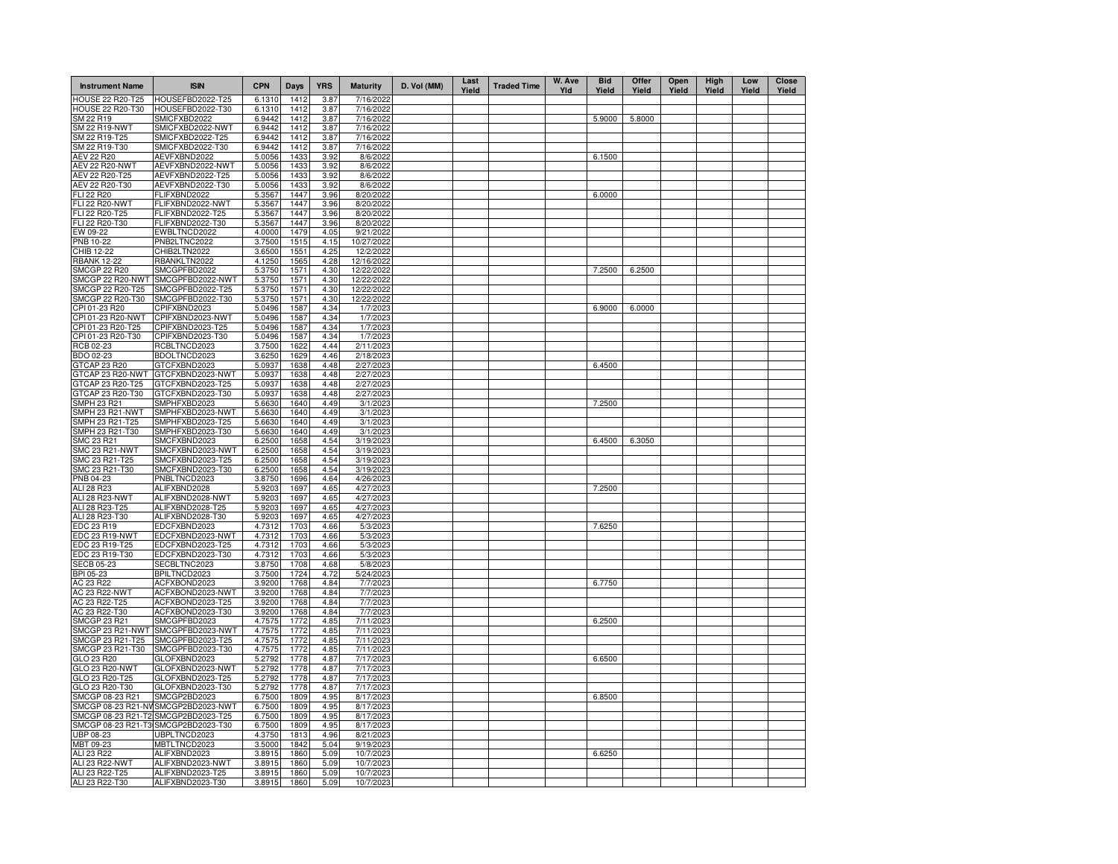| <b>Instrument Name</b>                | <b>ISIN</b>                          | <b>CPN</b>       | <b>Days</b>  | <b>YRS</b>   | <b>Maturity</b>         | D. Vol (MM) | Last<br>Yield | <b>Traded Time</b> | W. Ave<br>Yld | <b>Bid</b><br>Yield | Offer<br>Yield | Open<br>Yield | High<br>Yield | Low<br>Yield | <b>Close</b><br>Yield |
|---------------------------------------|--------------------------------------|------------------|--------------|--------------|-------------------------|-------------|---------------|--------------------|---------------|---------------------|----------------|---------------|---------------|--------------|-----------------------|
| <b>HOUSE 22 R20-T25</b>               | HOUSEFBD2022-T25                     | 6.1310           | 1412         | 3.87         | 7/16/2022               |             |               |                    |               |                     |                |               |               |              |                       |
| <b>HOUSE 22 R20-T30</b>               | HOUSEFBD2022-T30                     | 6.1310           | 1412         | 3.87         | 7/16/2022               |             |               |                    |               |                     |                |               |               |              |                       |
| SM 22 R19                             | SMICFXBD2022                         | 6.9442           | 1412         | 3.87         | 7/16/2022               |             |               |                    |               | 5.9000              | 5.8000         |               |               |              |                       |
| <b>SM 22 R19-NWT</b><br>SM 22 R19-T25 | SMICFXBD2022-NWT<br>SMICFXBD2022-T25 | 6.9442<br>6.9442 | 1412<br>1412 | 3.87<br>3.87 | 7/16/2022<br>7/16/2022  |             |               |                    |               |                     |                |               |               |              |                       |
| SM 22 R19-T30                         | SMICFXBD2022-T30                     | 6.9442           | 1412         | 3.87         | 7/16/2022               |             |               |                    |               |                     |                |               |               |              |                       |
| <b>AEV 22 R20</b>                     | AEVFXBND2022                         | 5.0056           | 1433         | 3.92         | 8/6/2022                |             |               |                    |               | 6.1500              |                |               |               |              |                       |
| <b>AEV 22 R20-NWT</b>                 | AEVFXBND2022-NWT                     | 5.0056           | 1433         | 3.92         | 8/6/2022                |             |               |                    |               |                     |                |               |               |              |                       |
| AEV 22 R20-T25                        | AEVFXBND2022-T25                     | 5.0056           | 1433         | 3.92         | 8/6/2022                |             |               |                    |               |                     |                |               |               |              |                       |
| AEV 22 R20-T30                        | AEVFXBND2022-T30                     | 5.0056           | 1433         | 3.92         | 8/6/2022                |             |               |                    |               |                     |                |               |               |              |                       |
| <b>FLI 22 R20</b>                     | FLIFXBND2022                         | 5.3567           | 1447         | 3.96         | 8/20/2022               |             |               |                    |               | 6.0000              |                |               |               |              |                       |
| <b>FLI 22 R20-NWT</b>                 | FLIFXBND2022-NWT                     | 5.3567           | 1447         | 3.96         | 8/20/2022               |             |               |                    |               |                     |                |               |               |              |                       |
| FLI 22 R20-T25                        | FLIFXBND2022-T25                     | 5.3567           | 1447         | 3.96         | 8/20/2022               |             |               |                    |               |                     |                |               |               |              |                       |
| FLI 22 R20-T30                        | FLIFXBND2022-T30                     | 5.3567           | 1447         | 3.96         | 8/20/2022               |             |               |                    |               |                     |                |               |               |              |                       |
| EW 09-22                              | EWBLTNCD2022                         | 4.0000           | 1479         | 4.05         | 9/21/2022               |             |               |                    |               |                     |                |               |               |              |                       |
| <b>PNB 10-22</b><br>CHIB 12-22        | PNB2LTNC2022<br>CHIB2LTN2022         | 3.7500           | 1515<br>1551 | 4.15<br>4.25 | 10/27/2022<br>12/2/2022 |             |               |                    |               |                     |                |               |               |              |                       |
| <b>RBANK 12-22</b>                    | RBANKLTN2022                         | 3.6500<br>4.1250 | 1565         | 4.28         | 12/16/2022              |             |               |                    |               |                     |                |               |               |              |                       |
| SMCGP 22 R20                          | SMCGPFBD2022                         | 5.3750           | 1571         | 4.30         | 12/22/2022              |             |               |                    |               | 7.2500              | 6.2500         |               |               |              |                       |
| SMCGP 22 R20-NWT                      | SMCGPFBD2022-NWT                     | 5.3750           | 1571         | 4.30         | 12/22/2022              |             |               |                    |               |                     |                |               |               |              |                       |
| SMCGP 22 R20-T25                      | SMCGPFBD2022-T25                     | 5.3750           | 1571         | 4.30         | 12/22/2022              |             |               |                    |               |                     |                |               |               |              |                       |
| SMCGP 22 R20-T30                      | SMCGPFBD2022-T30                     | 5.3750           | 1571         | 4.30         | 12/22/2022              |             |               |                    |               |                     |                |               |               |              |                       |
| CPI 01-23 R20                         | CPIFXBND2023                         | 5.0496           | 1587         | 4.34         | 1/7/2023                |             |               |                    |               | 6.9000              | 6.0000         |               |               |              |                       |
| CPI 01-23 R20-NWT                     | CPIFXBND2023-NWT                     | 5.0496           | 1587         | 4.34         | 1/7/2023                |             |               |                    |               |                     |                |               |               |              |                       |
| CPI 01-23 R20-T25                     | CPIFXBND2023-T25                     | 5.0496           | 1587         | 4.34         | 1/7/2023                |             |               |                    |               |                     |                |               |               |              |                       |
| CPI 01-23 R20-T30                     | CPIFXBND2023-T30                     | 5.0496           | 1587         | 4.34         | 1/7/2023                |             |               |                    |               |                     |                |               |               |              |                       |
| RCB 02-23                             | RCBLTNCD2023                         | 3.7500           | 1622         | 4.44         | 2/11/2023               |             |               |                    |               |                     |                |               |               |              |                       |
| BDO 02-23                             | BDOLTNCD2023                         | 3.6250           | 1629         | 4.46         | 2/18/2023               |             |               |                    |               |                     |                |               |               |              |                       |
| GTCAP 23 R20                          | GTCFXBND2023                         | 5.0937           | 1638         | 4.48         | 2/27/2023               |             |               |                    |               | 6.4500              |                |               |               |              |                       |
| GTCAP 23 R20-NWT                      | GTCFXBND2023-NWT                     | 5.0937           | 1638         | 4.48         | 2/27/2023               |             |               |                    |               |                     |                |               |               |              |                       |
| GTCAP 23 R20-T25<br>GTCAP 23 R20-T30  | GTCFXBND2023-T25<br>GTCFXBND2023-T30 | 5.0937<br>5.0937 | 1638<br>1638 | 4.48<br>4.48 | 2/27/2023<br>2/27/2023  |             |               |                    |               |                     |                |               |               |              |                       |
| <b>SMPH 23 R21</b>                    | SMPHFXBD2023                         | 5.6630           | 1640         | 4.49         | 3/1/2023                |             |               |                    |               | 7.2500              |                |               |               |              |                       |
| SMPH 23 R21-NWT                       | SMPHFXBD2023-NWT                     | 5.6630           | 1640         | 4.49         | 3/1/2023                |             |               |                    |               |                     |                |               |               |              |                       |
| SMPH 23 R21-T25                       | SMPHFXBD2023-T25                     | 5.6630           | 1640         | 4.49         | 3/1/2023                |             |               |                    |               |                     |                |               |               |              |                       |
| SMPH 23 R21-T30                       | SMPHFXBD2023-T30                     | 5.6630           | 1640         | 4.49         | 3/1/2023                |             |               |                    |               |                     |                |               |               |              |                       |
| <b>SMC 23 R21</b>                     | SMCFXBND2023                         | 6.2500           | 1658         | 4.54         | 3/19/2023               |             |               |                    |               | 6.4500              | 6.3050         |               |               |              |                       |
| <b>SMC 23 R21-NWT</b>                 | SMCFXBND2023-NWT                     | 6.2500           | 1658         | 4.54         | 3/19/2023               |             |               |                    |               |                     |                |               |               |              |                       |
| SMC 23 R21-T25                        | SMCFXBND2023-T25                     | 6.2500           | 1658         | 4.54         | 3/19/2023               |             |               |                    |               |                     |                |               |               |              |                       |
| SMC 23 R21-T30                        | SMCFXBND2023-T30                     | 6.2500           | 1658         | 4.54         | 3/19/2023               |             |               |                    |               |                     |                |               |               |              |                       |
| PNB 04-23                             | PNBLTNCD2023                         | 3.8750           | 1696         | 4.64         | 4/26/2023               |             |               |                    |               |                     |                |               |               |              |                       |
| ALI 28 R23                            | ALIFXBND2028                         | 5.9203           | 1697         | 4.65         | 4/27/2023               |             |               |                    |               | 7.2500              |                |               |               |              |                       |
| ALI 28 R23-NWT                        | ALIFXBND2028-NWT<br>ALIFXBND2028-T25 | 5.9203<br>5.9203 | 1697         | 4.65<br>4.65 | 4/27/2023<br>4/27/2023  |             |               |                    |               |                     |                |               |               |              |                       |
| ALI 28 R23-T25<br>ALI 28 R23-T30      | ALIFXBND2028-T30                     | 5.9203           | 1697<br>1697 | 4.65         | 4/27/2023               |             |               |                    |               |                     |                |               |               |              |                       |
| EDC 23 R19                            | EDCFXBND2023                         | 4.7312           | 1703         | 4.66         | 5/3/2023                |             |               |                    |               | 7.6250              |                |               |               |              |                       |
| EDC 23 R19-NWT                        | EDCFXBND2023-NWT                     | 4.7312           | 1703         | 4.66         | 5/3/2023                |             |               |                    |               |                     |                |               |               |              |                       |
| EDC 23 R19-T25                        | EDCFXBND2023-T25                     | 4.7312           | 1703         | 4.66         | 5/3/2023                |             |               |                    |               |                     |                |               |               |              |                       |
| EDC 23 R19-T30                        | EDCFXBND2023-T30                     | 4.7312           | 1703         | 4.66         | 5/3/2023                |             |               |                    |               |                     |                |               |               |              |                       |
| <b>SECB 05-23</b>                     | SECBLTNC2023                         | 3.8750           | 1708         | 4.68         | 5/8/2023                |             |               |                    |               |                     |                |               |               |              |                       |
| BPI 05-23                             | BPILTNCD2023                         | 3.7500           | 1724         | 4.72         | 5/24/2023               |             |               |                    |               |                     |                |               |               |              |                       |
| AC 23 R22                             | ACFXBOND2023                         | 3.9200           | 1768         | 4.84         | 7/7/2023                |             |               |                    |               | 6.7750              |                |               |               |              |                       |
| <b>AC 23 R22-NWT</b>                  | ACFXBOND2023-NWT                     | 3.9200           | 1768         | 4.84         | 7/7/2023                |             |               |                    |               |                     |                |               |               |              |                       |
| AC 23 R22-T25                         | ACFXBOND2023-T25                     | 3.9200           | 1768         | 4.84         | 7/7/2023                |             |               |                    |               |                     |                |               |               |              |                       |
| AC 23 R22-T30                         | ACFXBOND2023-T30                     | 3.9200           | 1768         | 4.84         | 7/7/2023                |             |               |                    |               |                     |                |               |               |              |                       |
| <b>SMCGP 23 R21</b>                   | SMCGPFBD2023                         | 4.7575           | 1772         | 4.85         | 7/11/2023               |             |               |                    |               | 6.2500              |                |               |               |              |                       |
| SMCGP 23 R21-NWT<br>SMCGP 23 R21-T25  | SMCGPFBD2023-NWT<br>SMCGPFBD2023-T25 | 4.7575<br>4.7575 | 1772<br>1772 | 4.85<br>4.85 | 7/11/2023<br>7/11/2023  |             |               |                    |               |                     |                |               |               |              |                       |
| SMCGP 23 R21-T30                      | SMCGPFBD2023-T30                     | 4.7575           | 1772         | 4.85         | 7/11/2023               |             |               |                    |               |                     |                |               |               |              |                       |
| GLO 23 R20                            | GLOFXBND2023                         | 5.2792           | 1778         | 4.87         | 7/17/2023               |             |               |                    |               | 6.6500              |                |               |               |              |                       |
| GLO 23 R20-NWT                        | GLOFXBND2023-NWT                     | 5.2792           | 1778         | 4.87         | 7/17/2023               |             |               |                    |               |                     |                |               |               |              |                       |
| GLO 23 R20-T25                        | GLOFXBND2023-T25                     | 5.2792           | 1778         | 4.87         | 7/17/2023               |             |               |                    |               |                     |                |               |               |              |                       |
| GLO 23 R20-T30                        | GLOFXBND2023-T30                     | 5.2792           | 1778         | 4.87         | 7/17/2023               |             |               |                    |               |                     |                |               |               |              |                       |
| SMCGP 08-23 R21                       | SMCGP2BD2023                         | 6.7500           | 1809         | 4.95         | 8/17/2023               |             |               |                    |               | 6.8500              |                |               |               |              |                       |
| SMCGP 08-23 R21-NV                    | SMCGP2BD2023-NWT                     | 6.7500           | 1809         | 4.95         | 8/17/2023               |             |               |                    |               |                     |                |               |               |              |                       |
| SMCGP 08-23 R21-T2                    | SMCGP2BD2023-T25                     | 6.7500           | 1809         | 4.95         | 8/17/2023               |             |               |                    |               |                     |                |               |               |              |                       |
| SMCGP 08-23 R21-T3                    | SMCGP2BD2023-T30                     | 6.7500           | 1809         | 4.95         | 8/17/2023               |             |               |                    |               |                     |                |               |               |              |                       |
| UBP 08-23                             | JBPLTNCD2023                         | 4.3750           | 1813         | 4.96         | 8/21/2023               |             |               |                    |               |                     |                |               |               |              |                       |
| MBT 09-23                             | MBTLTNCD2023                         | 3.5000           | 1842         | 5.04         | 9/19/2023               |             |               |                    |               |                     |                |               |               |              |                       |
| ALI 23 R22                            | ALIFXBND2023                         | 3.8915           | 1860         | 5.09         | 10/7/2023               |             |               |                    |               | 6.6250              |                |               |               |              |                       |
| ALI 23 R22-NWT<br>ALI 23 R22-T25      | ALIFXBND2023-NWT<br>ALIFXBND2023-T25 | 3.8915<br>3.8915 | 1860<br>1860 | 5.09<br>5.09 | 10/7/2023<br>10/7/2023  |             |               |                    |               |                     |                |               |               |              |                       |
| ALI 23 R22-T30                        | ALIFXBND2023-T30                     | 3.8915           | 1860         | 5.09         | 10/7/2023               |             |               |                    |               |                     |                |               |               |              |                       |
|                                       |                                      |                  |              |              |                         |             |               |                    |               |                     |                |               |               |              |                       |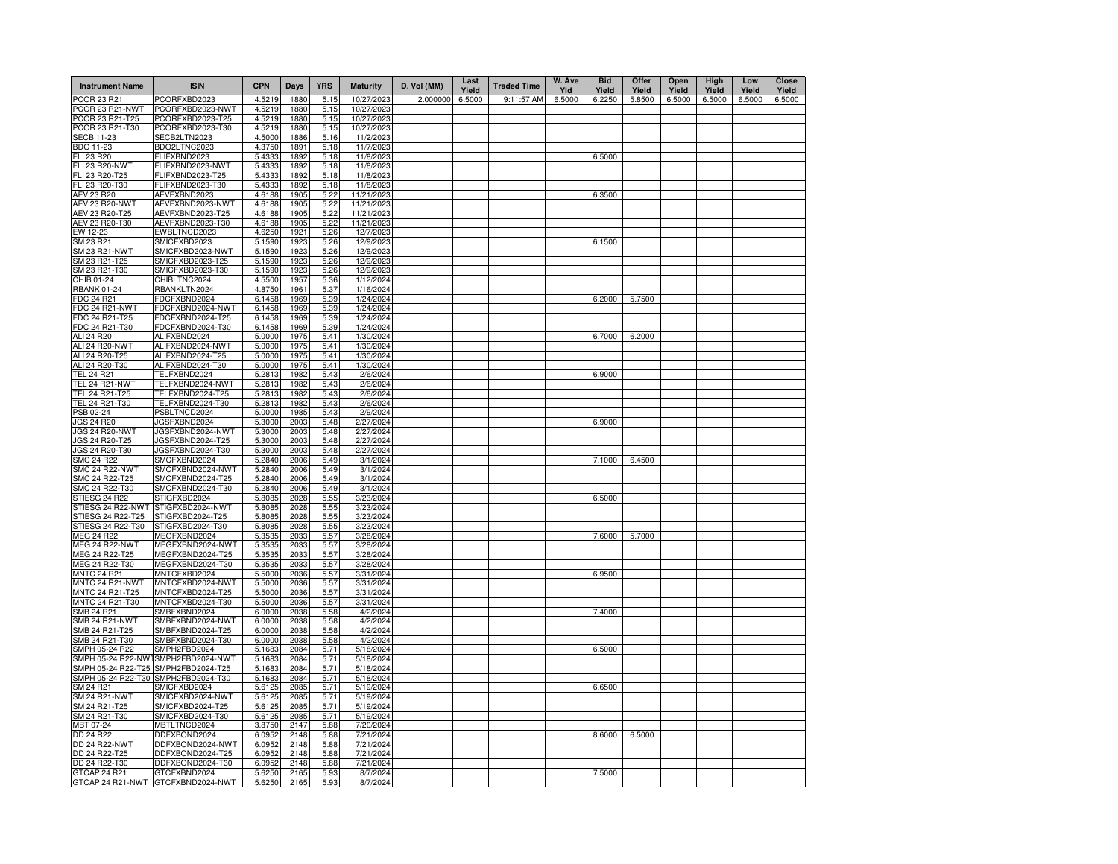| <b>Instrument Name</b>                 | <b>ISIN</b>                          | <b>CPN</b>       | Days         | <b>YRS</b>   | <b>Maturity</b>        | D. Vol (MM) | Last<br>Yield | <b>Traded Time</b> | W. Ave<br>Yld | <b>Bid</b><br>Yield | Offer<br>Yield | Open<br>Yield | High<br>Yield | Low<br>Yield | Close<br>Yield |
|----------------------------------------|--------------------------------------|------------------|--------------|--------------|------------------------|-------------|---------------|--------------------|---------------|---------------------|----------------|---------------|---------------|--------------|----------------|
| PCOR 23 R21                            | PCORFXBD2023                         | 4.5219           | 1880         | 5.15         | 10/27/2023             | 2.000000    | 6.5000        | 9:11:57 AM         | 6.5000        | 6.2250              | 5.8500         | 6.5000        | 6.5000        | 6.5000       | 6.5000         |
| PCOR 23 R21-NWT                        | PCORFXBD2023-NWT                     | 4.5219           | 1880         | 5.15         | 10/27/2023             |             |               |                    |               |                     |                |               |               |              |                |
| PCOR 23 R21-T25                        | PCORFXBD2023-T25                     | 4.5219           | 1880         | 5.15         | 10/27/2023             |             |               |                    |               |                     |                |               |               |              |                |
| PCOR 23 R21-T30                        | PCORFXBD2023-T30                     | 4.5219           | 1880         | 5.15         | 10/27/2023             |             |               |                    |               |                     |                |               |               |              |                |
| <b>SECB 11-23</b><br>BDO 11-23         | SECB2LTN2023<br>BDO2LTNC2023         | 4.5000<br>4.3750 | 1886<br>1891 | 5.16<br>5.18 | 11/2/2023<br>11/7/2023 |             |               |                    |               |                     |                |               |               |              |                |
| FLI 23 R20                             | FLIFXBND2023                         | 5.4333           | 1892         | 5.18         | 11/8/2023              |             |               |                    |               | 6.5000              |                |               |               |              |                |
| FLI 23 R20-NWT                         | FLIFXBND2023-NWT                     | 5.4333           | 1892         | 5.18         | 11/8/2023              |             |               |                    |               |                     |                |               |               |              |                |
| FLI 23 R20-T25                         | FLIFXBND2023-T25                     | 5.4333           | 1892         | 5.18         | 11/8/2023              |             |               |                    |               |                     |                |               |               |              |                |
| FLI 23 R20-T30                         | FLIFXBND2023-T30                     | 5.4333           | 1892         | 5.18         | 11/8/2023              |             |               |                    |               |                     |                |               |               |              |                |
| AEV 23 R20                             | AEVFXBND2023                         | 4.6188           | 1905         | 5.22         | 11/21/2023             |             |               |                    |               | 6.3500              |                |               |               |              |                |
| AEV 23 R20-NWT                         | AEVFXBND2023-NWT                     | 4.6188           | 1905         | 5.22         | 11/21/2023             |             |               |                    |               |                     |                |               |               |              |                |
| AEV 23 R20-T25                         | AEVFXBND2023-T25                     | 4.6188           | 1905         | 5.22         | 11/21/2023             |             |               |                    |               |                     |                |               |               |              |                |
| AEV 23 R20-T30                         | AEVFXBND2023-T30                     | 4.6188           | 1905         | 5.22         | 11/21/2023             |             |               |                    |               |                     |                |               |               |              |                |
| EW 12-23                               | EWBLTNCD2023                         | 4.6250           | 1921         | 5.26         | 12/7/2023              |             |               |                    |               |                     |                |               |               |              |                |
| SM 23 R21                              | SMICFXBD2023                         | 5.1590           | 1923         | 5.26         | 12/9/2023              |             |               |                    |               | 6.1500              |                |               |               |              |                |
| SM 23 R21-NWT                          | SMICFXBD2023-NWT                     | 5.1590           | 1923         | 5.26         | 12/9/2023              |             |               |                    |               |                     |                |               |               |              |                |
| SM 23 R21-T25<br>SM 23 R21-T30         | SMICFXBD2023-T25<br>SMICFXBD2023-T30 | 5.1590<br>5.1590 | 1923<br>1923 | 5.26<br>5.26 | 12/9/2023<br>12/9/2023 |             |               |                    |               |                     |                |               |               |              |                |
| CHIB 01-24                             | CHIBLTNC2024                         | 4.5500           | 1957         | 5.36         | 1/12/2024              |             |               |                    |               |                     |                |               |               |              |                |
| <b>RBANK 01-24</b>                     | RBANKLTN2024                         | 4.8750           | 1961         | 5.37         | 1/16/2024              |             |               |                    |               |                     |                |               |               |              |                |
| FDC 24 R21                             | FDCFXBND2024                         | 6.1458           | 1969         | 5.39         | 1/24/2024              |             |               |                    |               | 6.2000              | 5.7500         |               |               |              |                |
| FDC 24 R21-NWT                         | FDCFXBND2024-NWT                     | 6.1458           | 1969         | 5.39         | 1/24/2024              |             |               |                    |               |                     |                |               |               |              |                |
| FDC 24 R21-T25                         | FDCFXBND2024-T25                     | 6.1458           | 1969         | 5.39         | 1/24/2024              |             |               |                    |               |                     |                |               |               |              |                |
| FDC 24 R21-T30                         | FDCFXBND2024-T30                     | 6.1458           | 1969         | 5.39         | 1/24/2024              |             |               |                    |               |                     |                |               |               |              |                |
| ALI 24 R20                             | ALIFXBND2024                         | 5.0000           | 1975         | 5.41         | 1/30/2024              |             |               |                    |               | 6.7000              | 6.2000         |               |               |              |                |
| ALI 24 R20-NWT                         | ALIFXBND2024-NWT                     | 5.0000           | 1975         | 5.41         | 1/30/2024              |             |               |                    |               |                     |                |               |               |              |                |
| ALI 24 R20-T25                         | ALIFXBND2024-T25                     | 5.0000           | 1975         | 5.41         | 1/30/2024              |             |               |                    |               |                     |                |               |               |              |                |
| ALI 24 R20-T30                         | ALIFXBND2024-T30                     | 5.0000           | 1975         | 5.41         | 1/30/2024              |             |               |                    |               |                     |                |               |               |              |                |
| <b>TEL 24 R21</b>                      | TELFXBND2024                         | 5.2813           | 1982         | 5.43         | 2/6/2024               |             |               |                    |               | 6.9000              |                |               |               |              |                |
| <b>TEL 24 R21-NWT</b>                  | TELFXBND2024-NWT                     | 5.2813           | 1982         | 5.43         | 2/6/2024               |             |               |                    |               |                     |                |               |               |              |                |
| TEL 24 R21-T25                         | TELFXBND2024-T25                     | 5.2813           | 1982         | 5.43         | 2/6/2024               |             |               |                    |               |                     |                |               |               |              |                |
| TEL 24 R21-T30<br>PSB 02-24            | TELFXBND2024-T30<br>PSBLTNCD2024     | 5.2813<br>5.0000 | 1982<br>1985 | 5.43<br>5.43 | 2/6/2024<br>2/9/2024   |             |               |                    |               |                     |                |               |               |              |                |
| <b>JGS 24 R20</b>                      | JGSFXBND2024                         | 5.3000           | 2003         | 5.48         | 2/27/2024              |             |               |                    |               | 6.9000              |                |               |               |              |                |
| <b>JGS 24 R20-NWT</b>                  | JGSFXBND2024-NWT                     | 5.3000           | 2003         | 5.48         | 2/27/2024              |             |               |                    |               |                     |                |               |               |              |                |
| JGS 24 R20-T25                         | JGSFXBND2024-T25                     | 5.3000           | 2003         | 5.48         | 2/27/2024              |             |               |                    |               |                     |                |               |               |              |                |
| JGS 24 R20-T30                         | JGSFXBND2024-T30                     | 5.3000           | 2003         | 5.48         | 2/27/2024              |             |               |                    |               |                     |                |               |               |              |                |
| <b>SMC 24 R22</b>                      | SMCFXBND2024                         | 5.2840           | 2006         | 5.49         | 3/1/2024               |             |               |                    |               | 7.1000              | 6.4500         |               |               |              |                |
| <b>SMC 24 R22-NWT</b>                  | SMCFXBND2024-NWT                     | 5.2840           | 2006         | 5.49         | 3/1/2024               |             |               |                    |               |                     |                |               |               |              |                |
| SMC 24 R22-T25                         | SMCFXBND2024-T25                     | 5.2840           | 2006         | 5.49         | 3/1/2024               |             |               |                    |               |                     |                |               |               |              |                |
| SMC 24 R22-T30                         | SMCFXBND2024-T30                     | 5.2840           | 2006         | 5.49         | 3/1/2024               |             |               |                    |               |                     |                |               |               |              |                |
| STIESG 24 R22                          | STIGFXBD2024                         | 5.8085           | 2028         | 5.55         | 3/23/2024              |             |               |                    |               | 6.5000              |                |               |               |              |                |
| STIESG 24 R22-NWT                      | STIGFXBD2024-NWT                     | 5.8085           | 2028         | 5.55         | 3/23/2024              |             |               |                    |               |                     |                |               |               |              |                |
| STIESG 24 R22-T25                      | STIGFXBD2024-T25                     | 5.8085           | 2028         | 5.55         | 3/23/2024              |             |               |                    |               |                     |                |               |               |              |                |
| STIESG 24 R22-T30<br><b>MEG 24 R22</b> | STIGFXBD2024-T30<br>MEGFXBND2024     | 5.8085<br>5.3535 | 2028<br>2033 | 5.55<br>5.57 | 3/23/2024<br>3/28/2024 |             |               |                    |               | 7.6000              | 5.7000         |               |               |              |                |
| MEG 24 R22-NWT                         | MEGFXBND2024-NWT                     | 5.3535           | 2033         | 5.57         | 3/28/2024              |             |               |                    |               |                     |                |               |               |              |                |
| MEG 24 R22-T25                         | MEGFXBND2024-T25                     | 5.3535           | 2033         | 5.57         | 3/28/2024              |             |               |                    |               |                     |                |               |               |              |                |
| MEG 24 R22-T30                         | MEGFXBND2024-T30                     | 5.3535           | 2033         | 5.57         | 3/28/2024              |             |               |                    |               |                     |                |               |               |              |                |
| <b>MNTC 24 R21</b>                     | MNTCFXBD2024                         | 5.5000           | 2036         | 5.57         | 3/31/2024              |             |               |                    |               | 6.9500              |                |               |               |              |                |
| MNTC 24 R21-NWT                        | MNTCFXBD2024-NWT                     | 5.5000           | 2036         | 5.57         | 3/31/2024              |             |               |                    |               |                     |                |               |               |              |                |
| MNTC 24 R21-T25                        | MNTCFXBD2024-T25                     | 5.5000           | 2036         | 5.57         | 3/31/2024              |             |               |                    |               |                     |                |               |               |              |                |
| MNTC 24 R21-T30                        | MNTCFXBD2024-T30                     | 5.5000           | 2036         | 5.57         | 3/31/2024              |             |               |                    |               |                     |                |               |               |              |                |
| SMB 24 R21                             | SMBFXBND2024                         | 6.0000           | 2038         | 5.58         | 4/2/2024               |             |               |                    |               | 7.4000              |                |               |               |              |                |
| <b>SMB 24 R21-NWT</b>                  | SMBFXBND2024-NWT                     | 6.0000           | 2038         | 5.58         | 4/2/2024               |             |               |                    |               |                     |                |               |               |              |                |
| SMB 24 R21-T25<br>SMB 24 R21-T30       | SMBFXBND2024-T25<br>SMBFXBND2024-T30 | 6.0000<br>6.0000 | 2038<br>2038 | 5.58<br>5.58 | 4/2/2024<br>4/2/2024   |             |               |                    |               |                     |                |               |               |              |                |
| SMPH 05-24 R22                         | SMPH2FBD2024                         | 5.1683           | 2084         | 5.71         | 5/18/2024              |             |               |                    |               | 6.5000              |                |               |               |              |                |
|                                        | SMPH 05-24 R22-NW1SMPH2FBD2024-NWT   | 5.1683           | 2084         | 5.71         | 5/18/2024              |             |               |                    |               |                     |                |               |               |              |                |
| SMPH 05-24 R22-T25                     | SMPH2FBD2024-T25                     | 5.1683           | 2084         | 5.71         | 5/18/2024              |             |               |                    |               |                     |                |               |               |              |                |
| SMPH 05-24 R22-T30 SMPH2FBD2024-T30    |                                      | 5.1683           | 2084         | 5.71         | 5/18/2024              |             |               |                    |               |                     |                |               |               |              |                |
| SM 24 R21                              | SMICFXBD2024                         | 5.6125           | 2085         | 5.71         | 5/19/2024              |             |               |                    |               | 6.6500              |                |               |               |              |                |
| <b>SM 24 R21-NWT</b>                   | SMICFXBD2024-NWT                     | 5.6125           | 2085         | 5.71         | 5/19/2024              |             |               |                    |               |                     |                |               |               |              |                |
| SM 24 R21-T25                          | SMICFXBD2024-T25                     | 5.6125           | 2085         | 5.71         | 5/19/2024              |             |               |                    |               |                     |                |               |               |              |                |
| SM 24 R21-T30                          | SMICFXBD2024-T30                     | 5.6125           | 2085         | 5.71         | 5/19/2024              |             |               |                    |               |                     |                |               |               |              |                |
| MBT 07-24                              | MBTLTNCD2024                         | 3.8750           | 2147         | 5.88         | 7/20/2024              |             |               |                    |               |                     |                |               |               |              |                |
| DD 24 R22                              | DDFXBOND2024                         | 6.0952           | 2148         | 5.88         | 7/21/2024              |             |               |                    |               | 8.6000              | 6,5000         |               |               |              |                |
| <b>DD 24 R22-NWT</b>                   | DDFXBOND2024-NWT                     | 6.0952           | 2148         | 5.88         | 7/21/2024              |             |               |                    |               |                     |                |               |               |              |                |
| DD 24 R22-T25                          | DDFXBOND2024-T25                     | 6.0952           | 2148         | 5.88         | 7/21/2024              |             |               |                    |               |                     |                |               |               |              |                |
| DD 24 R22-T30<br>GTCAP 24 R21          | DDFXBOND2024-T30<br>GTCFXBND2024     | 6.0952<br>5.6250 | 2148<br>2165 | 5.88<br>5.93 | 7/21/2024<br>8/7/2024  |             |               |                    |               | 7.5000              |                |               |               |              |                |
|                                        | GTCAP 24 R21-NWT GTCFXBND2024-NWT    | 5.6250           | 2165         | 5.93         | 8/7/2024               |             |               |                    |               |                     |                |               |               |              |                |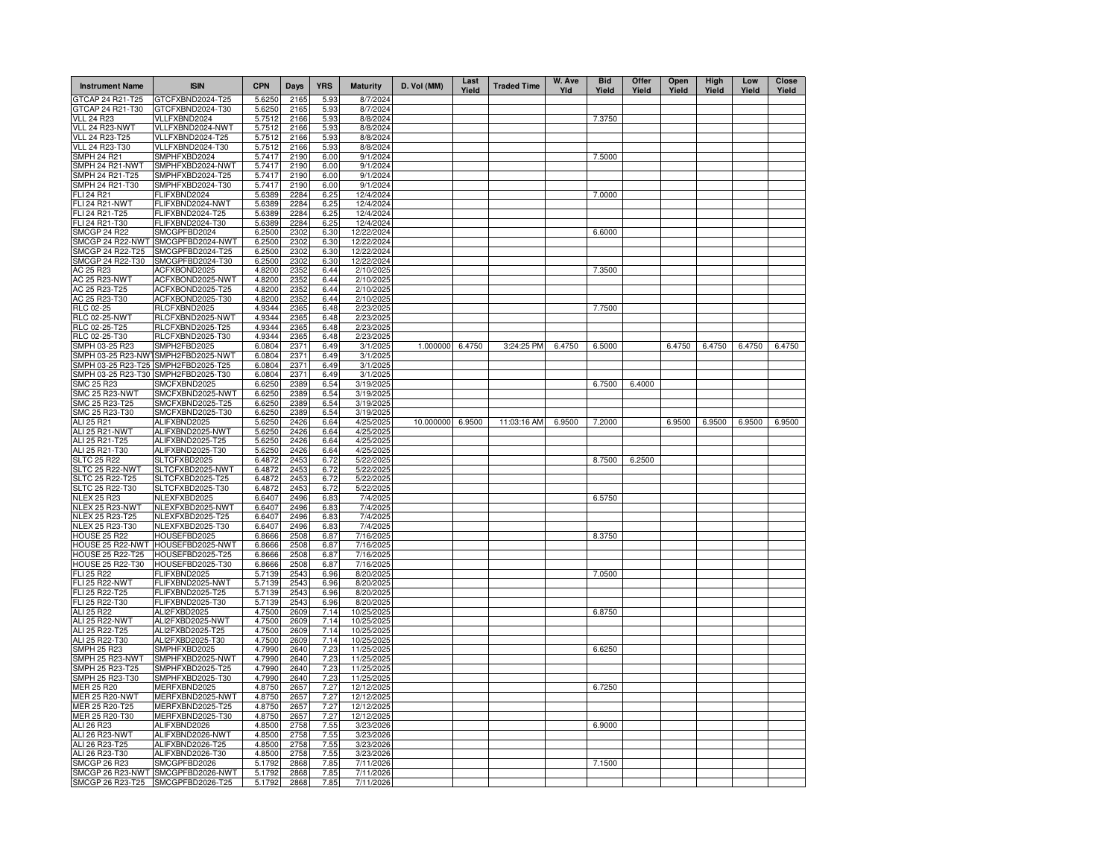| <b>Instrument Name</b>                  | <b>ISIN</b>                          | <b>CPN</b>       | Days         | <b>YRS</b>   | <b>Maturity</b>          | D. Vol (MM) | Last<br>Yield | <b>Traded Time</b> | W. Ave<br>YId | <b>Bid</b><br>Yield | Offer<br>Yield | Open<br>Yield | High<br>Yield | Low<br>Yield | <b>Close</b><br>Yield |
|-----------------------------------------|--------------------------------------|------------------|--------------|--------------|--------------------------|-------------|---------------|--------------------|---------------|---------------------|----------------|---------------|---------------|--------------|-----------------------|
| GTCAP 24 R21-T25                        | GTCFXBND2024-T25                     | 5.6250           | 2165         | 5.93         | 8/7/2024                 |             |               |                    |               |                     |                |               |               |              |                       |
| GTCAP 24 R21-T30                        | GTCFXBND2024-T30                     | 5.6250           | 2165         | 5.93         | 8/7/2024                 |             |               |                    |               |                     |                |               |               |              |                       |
| <b>VLL 24 R23</b>                       | VLLFXBND2024                         | 5.7512           | 2166<br>2166 | 5.93         | 8/8/2024                 |             |               |                    |               | 7.3750              |                |               |               |              |                       |
| VLL 24 R23-NWT<br>VLL 24 R23-T25        | VLLFXBND2024-NWT<br>VLLFXBND2024-T25 | 5.7512<br>5.7512 | 2166         | 5.93<br>5.93 | 8/8/2024<br>8/8/2024     |             |               |                    |               |                     |                |               |               |              |                       |
| VLL 24 R23-T30                          | VLLFXBND2024-T30                     | 5.7512           | 2166         | 5.93         | 8/8/2024                 |             |               |                    |               |                     |                |               |               |              |                       |
| SMPH 24 R21                             | SMPHFXBD2024                         | 5.7417           | 2190         | 6.00         | 9/1/2024                 |             |               |                    |               | 7.5000              |                |               |               |              |                       |
| SMPH 24 R21-NWT                         | SMPHFXBD2024-NWT                     | 5.7417           | 2190         | 6.00         | 9/1/2024                 |             |               |                    |               |                     |                |               |               |              |                       |
| SMPH 24 R21-T25                         | SMPHFXBD2024-T25                     | 5.7417           | 2190         | 6.00         | 9/1/2024                 |             |               |                    |               |                     |                |               |               |              |                       |
| SMPH 24 R21-T30                         | SMPHFXBD2024-T30                     | 5.7417           | 2190         | 6.00         | 9/1/2024                 |             |               |                    |               |                     |                |               |               |              |                       |
| <b>FLI 24 R21</b>                       | FLIFXBND2024                         | 5.6389           | 2284         | 6.25         | 12/4/2024                |             |               |                    |               | 7.0000              |                |               |               |              |                       |
| FLI 24 R21-NWT                          | FLIFXBND2024-NWT                     | 5.6389           | 2284         | 6.25         | 12/4/2024                |             |               |                    |               |                     |                |               |               |              |                       |
| FLI 24 R21-T25                          | FLIFXBND2024-T25                     | 5.6389           | 2284         | 6.25         | 12/4/2024                |             |               |                    |               |                     |                |               |               |              |                       |
| FLI 24 R21-T30                          | FLIFXBND2024-T30                     | 5.6389           | 2284         | 6.25         | 12/4/2024                |             |               |                    |               |                     |                |               |               |              |                       |
| <b>SMCGP 24 R22</b>                     | SMCGPFBD2024                         | 6.2500           | 2302<br>2302 | 6.30         | 12/22/2024               |             |               |                    |               | 6.6000              |                |               |               |              |                       |
| SMCGP 24 R22-NWT<br>SMCGP 24 R22-T25    | SMCGPFBD2024-NWT<br>SMCGPFBD2024-T25 | 6.2500<br>6.2500 | 2302         | 6.30<br>6.30 | 12/22/2024<br>12/22/2024 |             |               |                    |               |                     |                |               |               |              |                       |
| SMCGP 24 R22-T30                        | SMCGPFBD2024-T30                     | 6.2500           | 2302         | 6.30         | 12/22/2024               |             |               |                    |               |                     |                |               |               |              |                       |
| AC 25 R23                               | ACFXBOND2025                         | 4.8200           | 2352         | 6.44         | 2/10/2025                |             |               |                    |               | 7.3500              |                |               |               |              |                       |
| AC 25 R23-NWT                           | ACFXBOND2025-NWT                     | 4.8200           | 2352         | 6.44         | 2/10/2025                |             |               |                    |               |                     |                |               |               |              |                       |
| AC 25 R23-T25                           | ACFXBOND2025-T25                     | 4.8200           | 2352         | 6.44         | 2/10/2025                |             |               |                    |               |                     |                |               |               |              |                       |
| AC 25 R23-T30                           | ACFXBOND2025-T30                     | 4.8200           | 2352         | 6.44         | 2/10/2025                |             |               |                    |               |                     |                |               |               |              |                       |
| RLC 02-25                               | RLCFXBND2025                         | 4.9344           | 2365         | 6.48         | 2/23/2025                |             |               |                    |               | 7.7500              |                |               |               |              |                       |
| <b>RLC 02-25-NWT</b>                    | RLCFXBND2025-NWT                     | 4.9344           | 2365         | 6.48         | 2/23/2025                |             |               |                    |               |                     |                |               |               |              |                       |
| RLC 02-25-T25                           | RLCFXBND2025-T25                     | 4.9344           | 2365         | 6.48         | 2/23/2025                |             |               |                    |               |                     |                |               |               |              |                       |
| RLC 02-25-T30                           | RLCFXBND2025-T30                     | 4.9344           | 2365         | 6.48         | 2/23/2025                |             |               |                    |               |                     |                |               |               |              |                       |
| SMPH 03-25 R23                          | SMPH2FBD2025                         | 6.0804           | 2371         | 6.49         | 3/1/2025                 | 1.000000    | 6.4750        | 3:24:25 PM         | 6.4750        | 6.5000              |                | 6.4750        | 6.4750        | 6.4750       | 6.4750                |
|                                         | SMPH 03-25 R23-NW1SMPH2FBD2025-NWT   | 6.0804           | 2371         | 6.49         | 3/1/2025                 |             |               |                    |               |                     |                |               |               |              |                       |
| SMPH 03-25 R23-T25                      | SMPH2FBD2025-T25                     | 6.0804           | 2371         | 6.49         | 3/1/2025                 |             |               |                    |               |                     |                |               |               |              |                       |
| SMPH 03-25 R23-T30                      | SMPH2FBD2025-T30                     | 6.0804           | 2371         | 6.49         | 3/1/2025                 |             |               |                    |               |                     |                |               |               |              |                       |
| SMC 25 R23                              | SMCFXBND2025                         | 6.6250           | 2389         | 6.54         | 3/19/2025                |             |               |                    |               | 6.7500              | 6.4000         |               |               |              |                       |
| SMC 25 R23-NWT                          | SMCFXBND2025-NWT<br>SMCFXBND2025-T25 | 6.6250           | 2389         | 6.54         | 3/19/2025                |             |               |                    |               |                     |                |               |               |              |                       |
| SMC 25 R23-T25<br>SMC 25 R23-T30        | SMCFXBND2025-T30                     | 6.6250<br>6.6250 | 2389<br>2389 | 6.54<br>6.54 | 3/19/2025<br>3/19/2025   |             |               |                    |               |                     |                |               |               |              |                       |
| ALI 25 R21                              | ALIFXBND2025                         | 5.6250           | 2426         | 6.64         | 4/25/2025                | 10.000000   | 6.9500        | 11:03:16 AM        | 6.9500        | 7.2000              |                | 6.9500        | 6.9500        | 6.9500       | 6.9500                |
| ALI 25 R21-NWT                          | ALIFXBND2025-NWT                     | 5.6250           | 2426         | 6.64         | 4/25/2025                |             |               |                    |               |                     |                |               |               |              |                       |
| ALI 25 R21-T25                          | ALIFXBND2025-T25                     | 5.6250           | 2426         | 6.64         | 4/25/2025                |             |               |                    |               |                     |                |               |               |              |                       |
| ALI 25 R21-T30                          | ALIFXBND2025-T30                     | 5.6250           | 2426         | 6.64         | 4/25/2025                |             |               |                    |               |                     |                |               |               |              |                       |
| <b>SLTC 25 R22</b>                      | SLTCFXBD2025                         | 6.4872           | 2453         | 6.72         | 5/22/2025                |             |               |                    |               | 8.7500              | 6.2500         |               |               |              |                       |
| SLTC 25 R22-NWT                         | SLTCFXBD2025-NWT                     | 6.4872           | 2453         | 6.72         | 5/22/2025                |             |               |                    |               |                     |                |               |               |              |                       |
| <b>SLTC 25 R22-T25</b>                  | SLTCFXBD2025-T25                     | 6.4872           | 2453         | 6.72         | 5/22/2025                |             |               |                    |               |                     |                |               |               |              |                       |
| SLTC 25 R22-T30                         | SLTCFXBD2025-T30                     | 6.4872           | 2453         | 6.72         | 5/22/2025                |             |               |                    |               |                     |                |               |               |              |                       |
| <b>NLEX 25 R23</b>                      | NLEXFXBD2025                         | 6.6407           | 2496         | 6.83         | 7/4/2025                 |             |               |                    |               | 6.5750              |                |               |               |              |                       |
| NLEX 25 R23-NWT                         | NLEXFXBD2025-NWT                     | 6.6407           | 2496         | 6.83         | 7/4/2025                 |             |               |                    |               |                     |                |               |               |              |                       |
| NLEX 25 R23-T25                         | NLEXFXBD2025-T25                     | 6.6407           | 2496         | 6.83         | 7/4/2025                 |             |               |                    |               |                     |                |               |               |              |                       |
| NLEX 25 R23-T30                         | NLEXFXBD2025-T30                     | 6.6407           | 2496         | 6.83         | 7/4/2025                 |             |               |                    |               |                     |                |               |               |              |                       |
| <b>HOUSE 25 R22</b>                     | HOUSEFBD2025                         | 6.8666           | 2508         | 6.87         | 7/16/2025                |             |               |                    |               | 8.3750              |                |               |               |              |                       |
| HOUSE 25 R22-NWT<br>HOUSE 25 R22-T25    | HOUSEFBD2025-NWT<br>HOUSEFBD2025-T25 | 6.8666<br>6.8666 | 2508<br>2508 | 6.87         | 7/16/2025<br>7/16/2025   |             |               |                    |               |                     |                |               |               |              |                       |
| HOUSE 25 R22-T30                        | HOUSEFBD2025-T30                     | 6.8666           | 2508         | 6.87<br>6.87 | 7/16/2025                |             |               |                    |               |                     |                |               |               |              |                       |
| FLI 25 R22                              | ELIFXBND2025                         | 5.7139           | 2543         | 6.96         | 8/20/2025                |             |               |                    |               | 7.0500              |                |               |               |              |                       |
| <b>FLI 25 R22-NWT</b>                   | FLIFXBND2025-NWT                     | 5.7139           | 2543         | 6.96         | 8/20/2025                |             |               |                    |               |                     |                |               |               |              |                       |
| FLI 25 R22-T25                          | FLIFXBND2025-T25                     | 5.7139           | 2543         | 6.96         | 8/20/2025                |             |               |                    |               |                     |                |               |               |              |                       |
| FLI 25 R22-T30                          | FLIFXBND2025-T30                     | 5.7139           | 2543         | 6.96         | 8/20/2025                |             |               |                    |               |                     |                |               |               |              |                       |
| ALI 25 R22                              | ALI2FXBD2025                         | 4.7500           | 2609         | 7.14         | 10/25/2025               |             |               |                    |               | 6.8750              |                |               |               |              |                       |
| ALI 25 R22-NWT                          | ALI2FXBD2025-NWT                     | 4.7500           | 2609         | 7.14         | 10/25/2025               |             |               |                    |               |                     |                |               |               |              |                       |
| ALI 25 R22-T25                          | ALI2FXBD2025-T25                     | 4.7500           | 2609         | 7.14         | 10/25/2025               |             |               |                    |               |                     |                |               |               |              |                       |
| ALI 25 R22-T30                          | ALI2FXBD2025-T30                     | 4.7500           | 2609         | 7.14         | 10/25/2025               |             |               |                    |               |                     |                |               |               |              |                       |
| <b>SMPH 25 R23</b>                      | SMPHFXBD2025                         | 4.7990           | 2640         | 7.23         | 11/25/2025               |             |               |                    |               | 6.6250              |                |               |               |              |                       |
| SMPH 25 R23-NWT                         | SMPHFXBD2025-NWT                     | 4.7990           | 2640         | 7.23         | 11/25/2025               |             |               |                    |               |                     |                |               |               |              |                       |
| SMPH 25 R23-T25                         | SMPHFXBD2025-T25                     | 4.7990           | 2640         | 7.23         | 11/25/2025               |             |               |                    |               |                     |                |               |               |              |                       |
| SMPH 25 R23-T30                         | SMPHFXBD2025-T30                     | 4.7990           | 2640         | 7.23         | 11/25/2025               |             |               |                    |               | 6.7250              |                |               |               |              |                       |
| MER 25 R20                              | MERFXBND2025                         | 4.8750           | 2657         | 7.27         | 12/12/2025               |             |               |                    |               |                     |                |               |               |              |                       |
| <b>MER 25 R20-NWT</b><br>MER 25 R20-T25 | MERFXBND2025-NWT<br>MERFXBND2025-T25 | 4.8750<br>4.8750 | 2657<br>2657 | 7.27<br>7.27 | 12/12/2025<br>12/12/2025 |             |               |                    |               |                     |                |               |               |              |                       |
| MER 25 R20-T30                          | MERFXBND2025-T30                     | 4.8750           | 2657         | 7.27         | 12/12/2025               |             |               |                    |               |                     |                |               |               |              |                       |
| ALI 26 R23                              | ALIFXBND2026                         | 4.8500           | 2758         | 7.55         | 3/23/2026                |             |               |                    |               | 6.9000              |                |               |               |              |                       |
| ALI 26 R23-NWT                          | ALIFXBND2026-NWT                     | 4.8500           | 2758         | 7.55         | 3/23/2026                |             |               |                    |               |                     |                |               |               |              |                       |
| ALI 26 R23-T25                          | ALIFXBND2026-T25                     | 4.8500           | 2758         | 7.55         | 3/23/2026                |             |               |                    |               |                     |                |               |               |              |                       |
| ALI 26 R23-T30                          | ALIFXBND2026-T30                     | 4.8500           | 2758         | 7.55         | 3/23/2026                |             |               |                    |               |                     |                |               |               |              |                       |
| <b>SMCGP 26 R23</b>                     | SMCGPFBD2026                         | 5.1792           | 2868         | 7.85         | 7/11/2026                |             |               |                    |               | 7.1500              |                |               |               |              |                       |
|                                         | SMCGP 26 R23-NWT SMCGPFBD2026-NWT    | 5.1792           | 2868         | 7.85         | 7/11/2026                |             |               |                    |               |                     |                |               |               |              |                       |
| SMCGP 26 R23-T25                        | SMCGPFBD2026-T25                     | 5.1792           | 2868         | 7.85         | 7/11/2026                |             |               |                    |               |                     |                |               |               |              |                       |